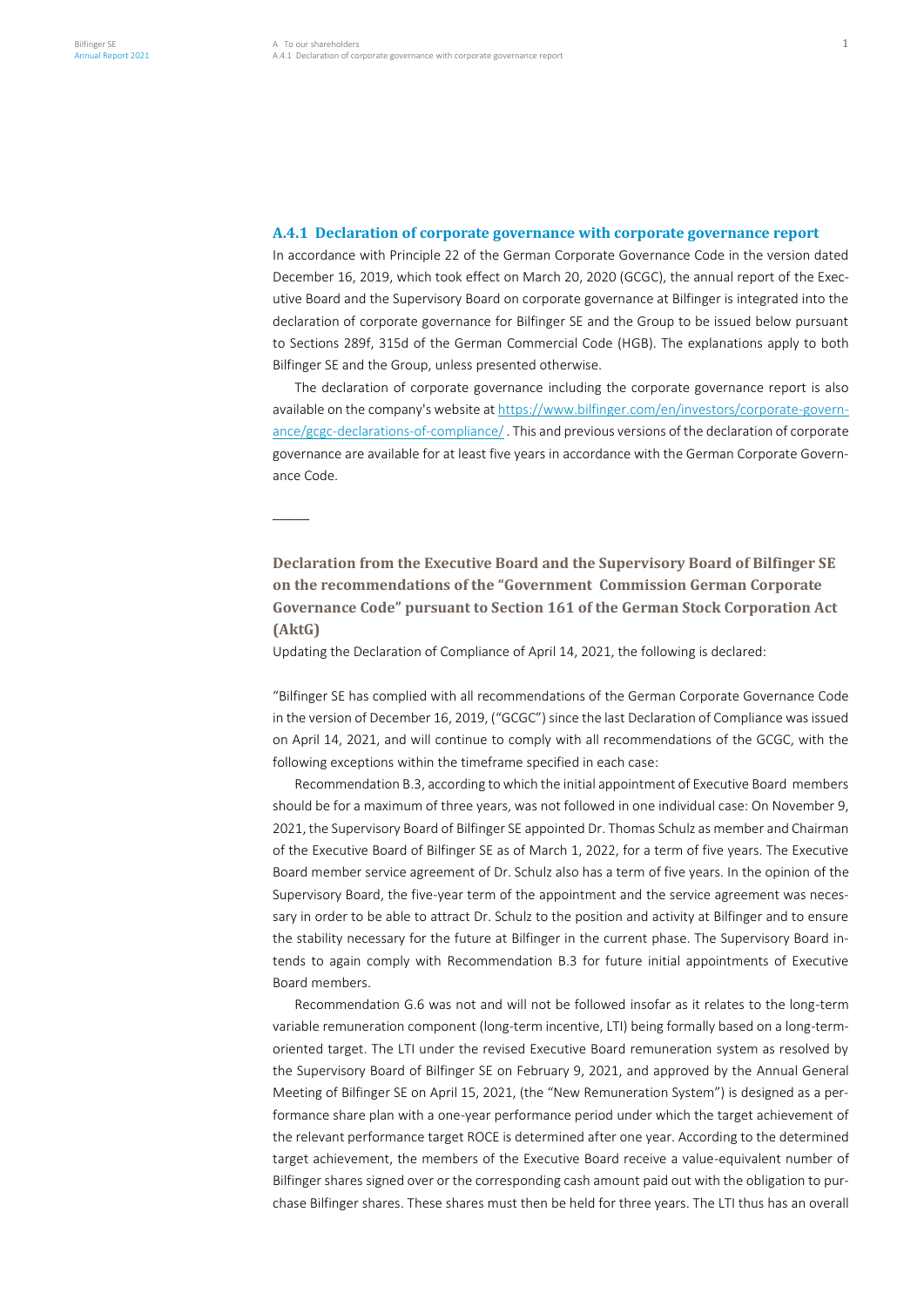–––––

# **A.4.1 Declaration of corporate governance with corporate governance report**

In accordance with Principle 22 of the German Corporate Governance Code in the version dated December 16, 2019, which took effect on March 20, 2020 (GCGC), the annual report of the Executive Board and the Supervisory Board on corporate governance at Bilfinger is integrated into the declaration of corporate governance for Bilfinger SE and the Group to be issued below pursuant to Sections 289f, 315d of the German Commercial Code (HGB). The explanations apply to both Bilfinger SE and the Group, unless presented otherwise.

The declaration of corporate governance including the corporate governance report is also available on the company's website a[t https://www.bilfinger.com/en/investors/corporate-govern](https://www.bilfinger.com/en/investors/corporate-governance/gcgc-declarations-of-compliance/)[ance/gcgc-declarations-of-compliance/](https://www.bilfinger.com/en/investors/corporate-governance/gcgc-declarations-of-compliance/) . This and previous versions of the declaration of corporate governance are available for at least five years in accordance with the German Corporate Governance Code.

**Declaration from the Executive Board and the Supervisory Board of Bilfinger SE on the recommendations of the "Government Commission German Corporate Governance Code" pursuant to Section 161 of the German Stock Corporation Act (AktG)**

Updating the Declaration of Compliance of April 14, 2021, the following is declared:

"Bilfinger SE has complied with all recommendations of the German Corporate Governance Code in the version of December 16, 2019, ("GCGC") since the last Declaration of Compliance was issued on April 14, 2021, and will continue to comply with all recommendations of the GCGC, with the following exceptions within the timeframe specified in each case:

Recommendation B.3, according to which the initial appointment of Executive Board members should be for a maximum of three years, was not followed in one individual case: On November 9, 2021, the Supervisory Board of Bilfinger SE appointed Dr. Thomas Schulz as member and Chairman of the Executive Board of Bilfinger SE as of March 1, 2022, for a term of five years. The Executive Board member service agreement of Dr. Schulz also has a term of five years. In the opinion of the Supervisory Board, the five-year term of the appointment and the service agreement was necessary in order to be able to attract Dr. Schulz to the position and activity at Bilfinger and to ensure the stability necessary for the future at Bilfinger in the current phase. The Supervisory Board intends to again comply with Recommendation B.3 for future initial appointments of Executive Board members.

Recommendation G.6 was not and will not be followed insofar as it relates to the long-term variable remuneration component (long-term incentive, LTI) being formally based on a long-termoriented target. The LTI under the revised Executive Board remuneration system as resolved by the Supervisory Board of Bilfinger SE on February 9, 2021, and approved by the Annual General Meeting of Bilfinger SE on April 15, 2021, (the "New Remuneration System") is designed as a performance share plan with a one-year performance period under which the target achievement of the relevant performance target ROCE is determined after one year. According to the determined target achievement, the members of the Executive Board receive a value-equivalent number of Bilfinger shares signed over or the corresponding cash amount paid out with the obligation to purchase Bilfinger shares. These shares must then be held for three years. The LTI thus has an overall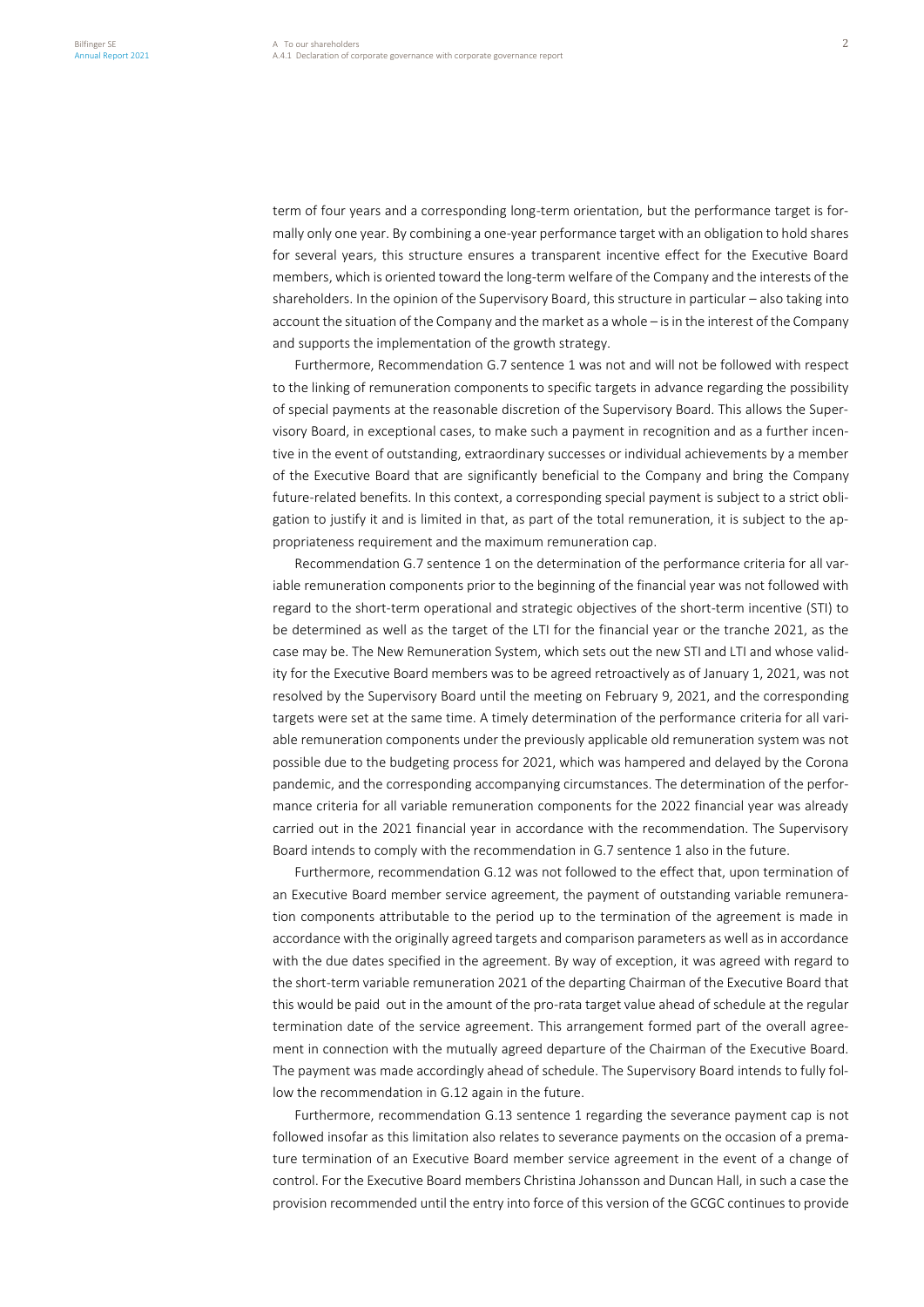term of four years and a corresponding long-term orientation, but the performance target is formally only one year. By combining a one-year performance target with an obligation to hold shares for several years, this structure ensures a transparent incentive effect for the Executive Board members, which is oriented toward the long-term welfare of the Company and the interests of the shareholders. In the opinion of the Supervisory Board, this structure in particular – also taking into account the situation of the Company and the market as a whole – is in the interest of the Company and supports the implementation of the growth strategy.

Furthermore, Recommendation G.7 sentence 1 was not and will not be followed with respect to the linking of remuneration components to specific targets in advance regarding the possibility of special payments at the reasonable discretion of the Supervisory Board. This allows the Supervisory Board, in exceptional cases, to make such a payment in recognition and as a further incentive in the event of outstanding, extraordinary successes or individual achievements by a member of the Executive Board that are significantly beneficial to the Company and bring the Company future-related benefits. In this context, a corresponding special payment is subject to a strict obligation to justify it and is limited in that, as part of the total remuneration, it is subject to the appropriateness requirement and the maximum remuneration cap.

Recommendation G.7 sentence 1 on the determination of the performance criteria for all variable remuneration components prior to the beginning of the financial year was not followed with regard to the short-term operational and strategic objectives of the short-term incentive (STI) to be determined as well as the target of the LTI for the financial year or the tranche 2021, as the case may be. The New Remuneration System, which sets out the new STI and LTI and whose validity for the Executive Board members was to be agreed retroactively as of January 1, 2021, was not resolved by the Supervisory Board until the meeting on February 9, 2021, and the corresponding targets were set at the same time. A timely determination of the performance criteria for all variable remuneration components under the previously applicable old remuneration system was not possible due to the budgeting process for 2021, which was hampered and delayed by the Corona pandemic, and the corresponding accompanying circumstances. The determination of the performance criteria for all variable remuneration components for the 2022 financial year was already carried out in the 2021 financial year in accordance with the recommendation. The Supervisory Board intends to comply with the recommendation in G.7 sentence 1 also in the future.

Furthermore, recommendation G.12 was not followed to the effect that, upon termination of an Executive Board member service agreement, the payment of outstanding variable remuneration components attributable to the period up to the termination of the agreement is made in accordance with the originally agreed targets and comparison parameters as well as in accordance with the due dates specified in the agreement. By way of exception, it was agreed with regard to the short-term variable remuneration 2021 of the departing Chairman of the Executive Board that this would be paid out in the amount of the pro-rata target value ahead of schedule at the regular termination date of the service agreement. This arrangement formed part of the overall agreement in connection with the mutually agreed departure of the Chairman of the Executive Board. The payment was made accordingly ahead of schedule. The Supervisory Board intends to fully follow the recommendation in G.12 again in the future.

Furthermore, recommendation G.13 sentence 1 regarding the severance payment cap is not followed insofar as this limitation also relates to severance payments on the occasion of a premature termination of an Executive Board member service agreement in the event of a change of control. For the Executive Board members Christina Johansson and Duncan Hall, in such a case the provision recommended until the entry into force of this version of the GCGC continues to provide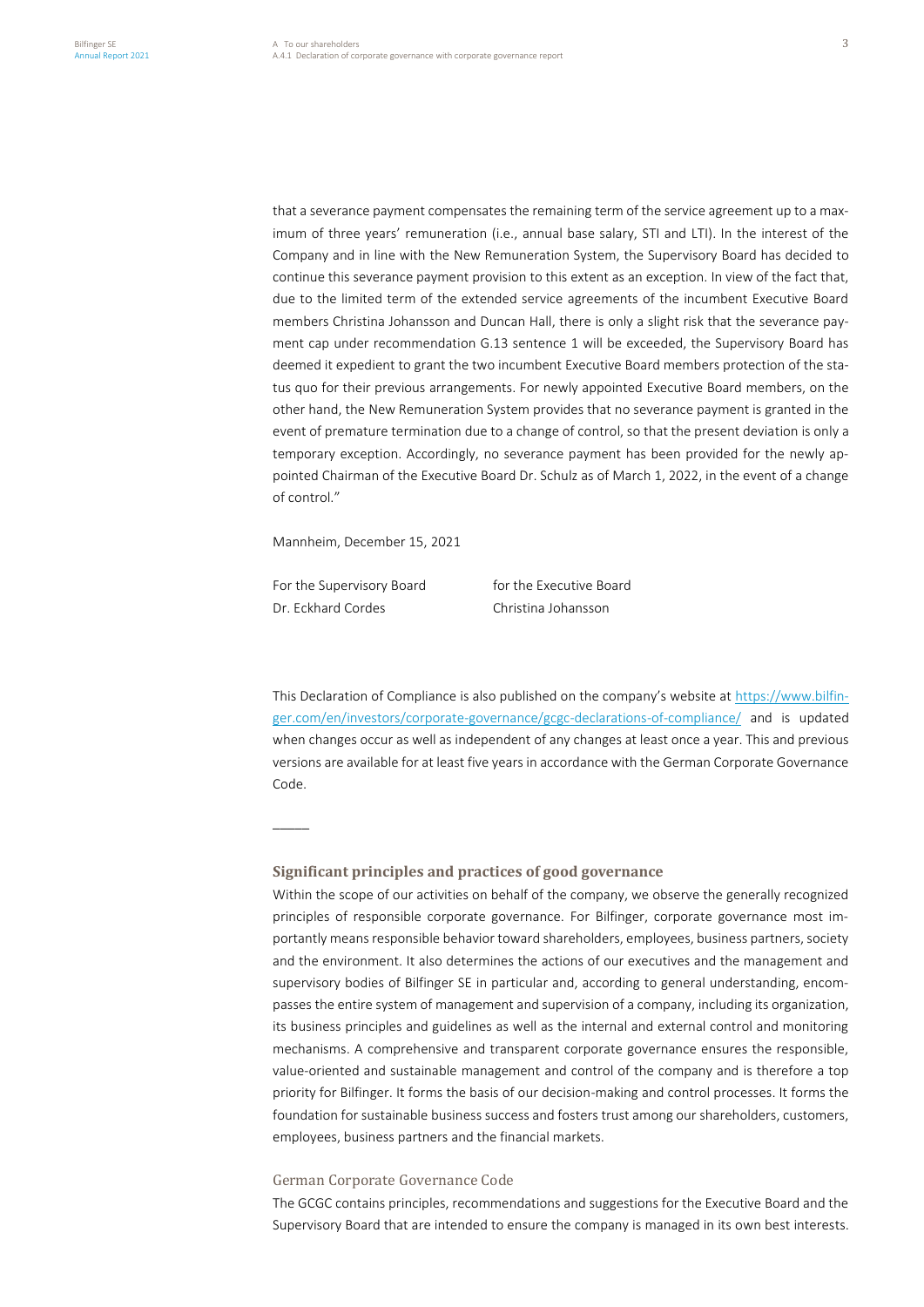that a severance payment compensates the remaining term of the service agreement up to a maximum of three years' remuneration (i.e., annual base salary, STI and LTI). In the interest of the Company and in line with the New Remuneration System, the Supervisory Board has decided to continue this severance payment provision to this extent as an exception. In view of the fact that, due to the limited term of the extended service agreements of the incumbent Executive Board members Christina Johansson and Duncan Hall, there is only a slight risk that the severance payment cap under recommendation G.13 sentence 1 will be exceeded, the Supervisory Board has deemed it expedient to grant the two incumbent Executive Board members protection of the status quo for their previous arrangements. For newly appointed Executive Board members, on the other hand, the New Remuneration System provides that no severance payment is granted in the event of premature termination due to a change of control, so that the present deviation is only a temporary exception. Accordingly, no severance payment has been provided for the newly appointed Chairman of the Executive Board Dr. Schulz as of March 1, 2022, in the event of a change of control."

Mannheim, December 15, 2021

For the Supervisory Board for the Executive Board Dr. Eckhard Cordes Christina Johansson

–––––

This Declaration of Compliance is also published on the company's website at [https://www.bilfin](https://www.bilfinger.com/en/investors/corporate-governance/gcgc-declarations-of-compliance/)[ger.com/en/investors/corporate-governance/gcgc-declarations-of-compliance/](https://www.bilfinger.com/en/investors/corporate-governance/gcgc-declarations-of-compliance/) and is updated when changes occur as well as independent of any changes at least once a year. This and previous versions are available for at least five years in accordance with the German Corporate Governance Code.

## **Significant principles and practices of good governance**

Within the scope of our activities on behalf of the company, we observe the generally recognized principles of responsible corporate governance. For Bilfinger, corporate governance most importantly means responsible behavior toward shareholders, employees, business partners, society and the environment. It also determines the actions of our executives and the management and supervisory bodies of Bilfinger SE in particular and, according to general understanding, encompasses the entire system of management and supervision of a company, including its organization, its business principles and guidelines as well as the internal and external control and monitoring mechanisms. A comprehensive and transparent corporate governance ensures the responsible, value-oriented and sustainable management and control of the company and is therefore a top priority for Bilfinger. It forms the basis of our decision-making and control processes. It forms the foundation for sustainable business success and fosters trust among our shareholders, customers, employees, business partners and the financial markets.

## German Corporate Governance Code

The GCGC contains principles, recommendations and suggestions for the Executive Board and the Supervisory Board that are intended to ensure the company is managed in its own best interests.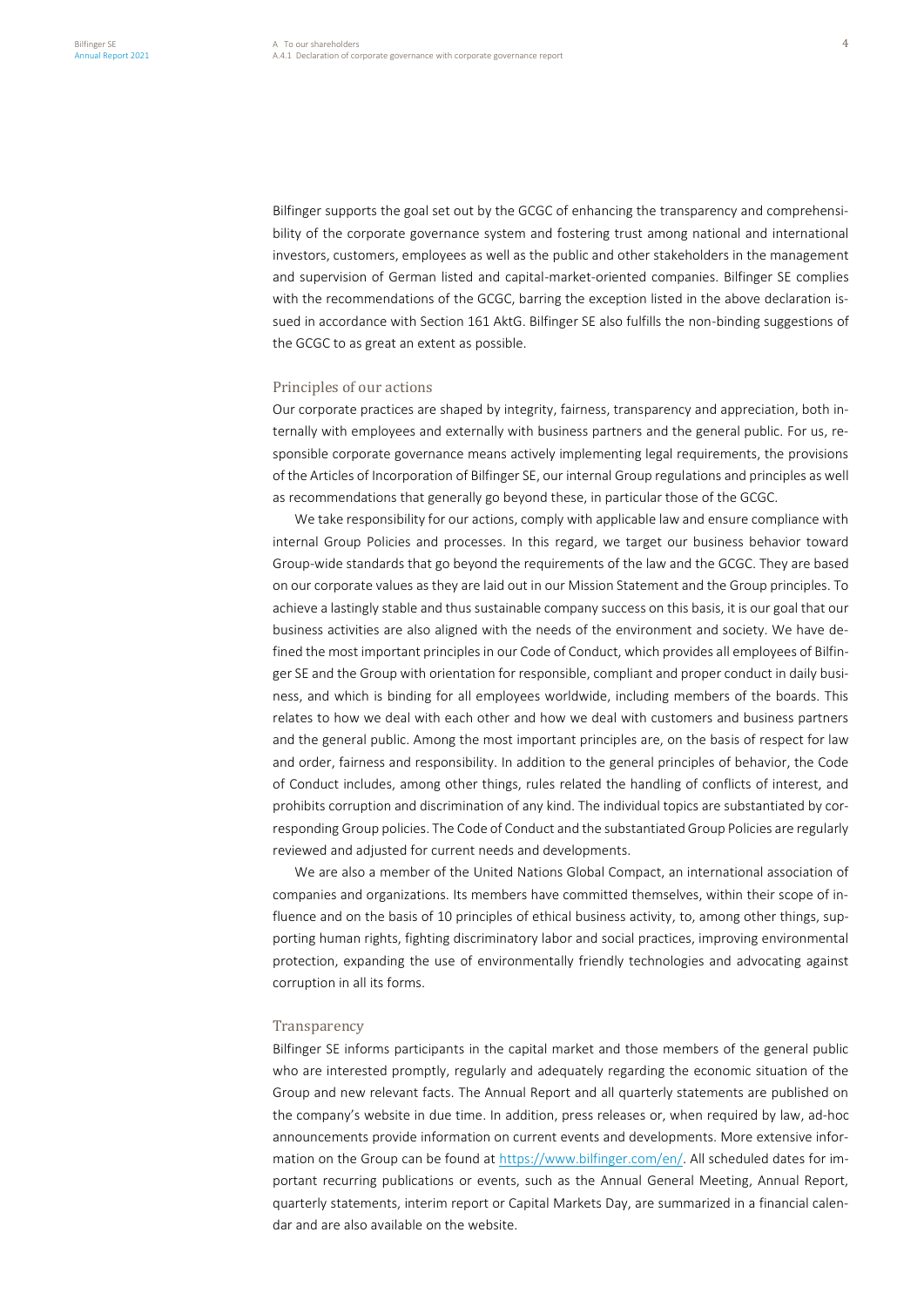Bilfinger supports the goal set out by the GCGC of enhancing the transparency and comprehensibility of the corporate governance system and fostering trust among national and international investors, customers, employees as well as the public and other stakeholders in the management and supervision of German listed and capital-market-oriented companies. Bilfinger SE complies with the recommendations of the GCGC, barring the exception listed in the above declaration issued in accordance with Section 161 AktG. Bilfinger SE also fulfills the non-binding suggestions of the GCGC to as great an extent as possible.

#### Principles of our actions

Our corporate practices are shaped by integrity, fairness, transparency and appreciation, both internally with employees and externally with business partners and the general public. For us, responsible corporate governance means actively implementing legal requirements, the provisions of the Articles of Incorporation of Bilfinger SE, our internal Group regulations and principles as well as recommendations that generally go beyond these, in particular those of the GCGC.

We take responsibility for our actions, comply with applicable law and ensure compliance with internal Group Policies and processes. In this regard, we target our business behavior toward Group-wide standards that go beyond the requirements of the law and the GCGC. They are based on our corporate values as they are laid out in our Mission Statement and the Group principles. To achieve a lastingly stable and thus sustainable company success on this basis, it is our goal that our business activities are also aligned with the needs of the environment and society. We have defined the most important principles in our Code of Conduct, which provides all employees of Bilfinger SE and the Group with orientation for responsible, compliant and proper conduct in daily business, and which is binding for all employees worldwide, including members of the boards. This relates to how we deal with each other and how we deal with customers and business partners and the general public. Among the most important principles are, on the basis of respect for law and order, fairness and responsibility. In addition to the general principles of behavior, the Code of Conduct includes, among other things, rules related the handling of conflicts of interest, and prohibits corruption and discrimination of any kind. The individual topics are substantiated by corresponding Group policies. The Code of Conduct and the substantiated Group Policies are regularly reviewed and adjusted for current needs and developments.

We are also a member of the United Nations Global Compact, an international association of companies and organizations. Its members have committed themselves, within their scope of influence and on the basis of 10 principles of ethical business activity, to, among other things, supporting human rights, fighting discriminatory labor and social practices, improving environmental protection, expanding the use of environmentally friendly technologies and advocating against corruption in all its forms.

#### **Transparency**

Bilfinger SE informs participants in the capital market and those members of the general public who are interested promptly, regularly and adequately regarding the economic situation of the Group and new relevant facts. The Annual Report and all quarterly statements are published on the company's website in due time. In addition, press releases or, when required by law, ad-hoc announcements provide information on current events and developments. More extensive information on the Group can be found at [https://www.bilfinger.com/en/.](https://www.bilfinger.com/en/) All scheduled dates for important recurring publications or events, such as the Annual General Meeting, Annual Report, quarterly statements, interim report or Capital Markets Day, are summarized in a financial calendar and are also available on the website.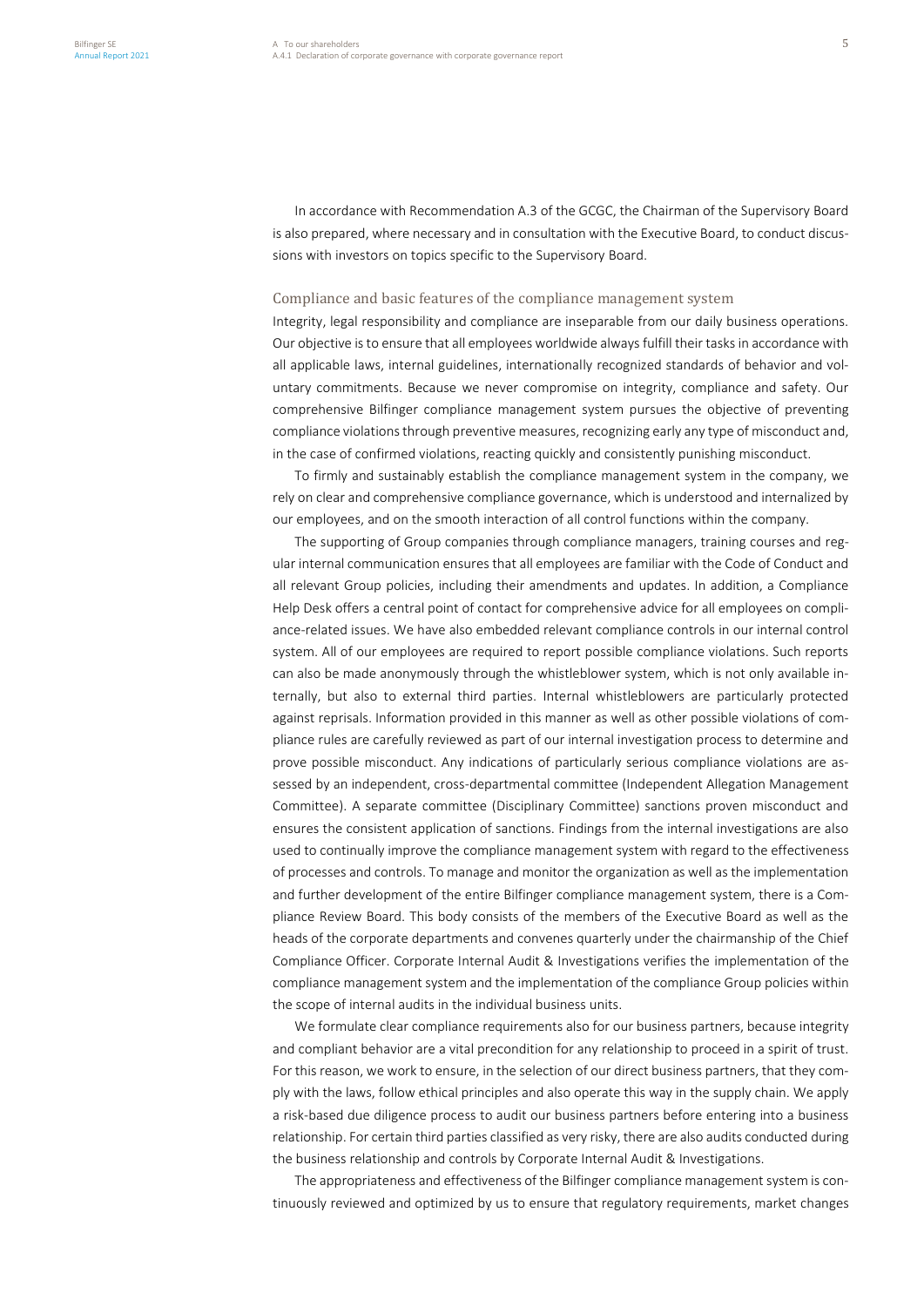In accordance with Recommendation A.3 of the GCGC, the Chairman of the Supervisory Board is also prepared, where necessary and in consultation with the Executive Board, to conduct discussions with investors on topics specific to the Supervisory Board.

## Compliance and basic features of the compliance management system

Integrity, legal responsibility and compliance are inseparable from our daily business operations. Our objective is to ensure that all employees worldwide always fulfill their tasks in accordance with all applicable laws, internal guidelines, internationally recognized standards of behavior and voluntary commitments. Because we never compromise on integrity, compliance and safety. Our comprehensive Bilfinger compliance management system pursues the objective of preventing compliance violations through preventive measures, recognizing early any type of misconduct and, in the case of confirmed violations, reacting quickly and consistently punishing misconduct.

To firmly and sustainably establish the compliance management system in the company, we rely on clear and comprehensive compliance governance, which is understood and internalized by our employees, and on the smooth interaction of all control functions within the company.

The supporting of Group companies through compliance managers, training courses and regular internal communication ensures that all employees are familiar with the Code of Conduct and all relevant Group policies, including their amendments and updates. In addition, a Compliance Help Desk offers a central point of contact for comprehensive advice for all employees on compliance-related issues. We have also embedded relevant compliance controls in our internal control system. All of our employees are required to report possible compliance violations. Such reports can also be made anonymously through the whistleblower system, which is not only available internally, but also to external third parties. Internal whistleblowers are particularly protected against reprisals. Information provided in this manner as well as other possible violations of compliance rules are carefully reviewed as part of our internal investigation process to determine and prove possible misconduct. Any indications of particularly serious compliance violations are assessed by an independent, cross-departmental committee (Independent Allegation Management Committee). A separate committee (Disciplinary Committee) sanctions proven misconduct and ensures the consistent application of sanctions. Findings from the internal investigations are also used to continually improve the compliance management system with regard to the effectiveness of processes and controls. To manage and monitor the organization as well as the implementation and further development of the entire Bilfinger compliance management system, there is a Compliance Review Board. This body consists of the members of the Executive Board as well as the heads of the corporate departments and convenes quarterly under the chairmanship of the Chief Compliance Officer. Corporate Internal Audit & Investigations verifies the implementation of the compliance management system and the implementation of the compliance Group policies within the scope of internal audits in the individual business units.

We formulate clear compliance requirements also for our business partners, because integrity and compliant behavior are a vital precondition for any relationship to proceed in a spirit of trust. For this reason, we work to ensure, in the selection of our direct business partners, that they comply with the laws, follow ethical principles and also operate this way in the supply chain. We apply a risk-based due diligence process to audit our business partners before entering into a business relationship. For certain third parties classified as very risky, there are also audits conducted during the business relationship and controls by Corporate Internal Audit & Investigations.

The appropriateness and effectiveness of the Bilfinger compliance management system is continuously reviewed and optimized by us to ensure that regulatory requirements, market changes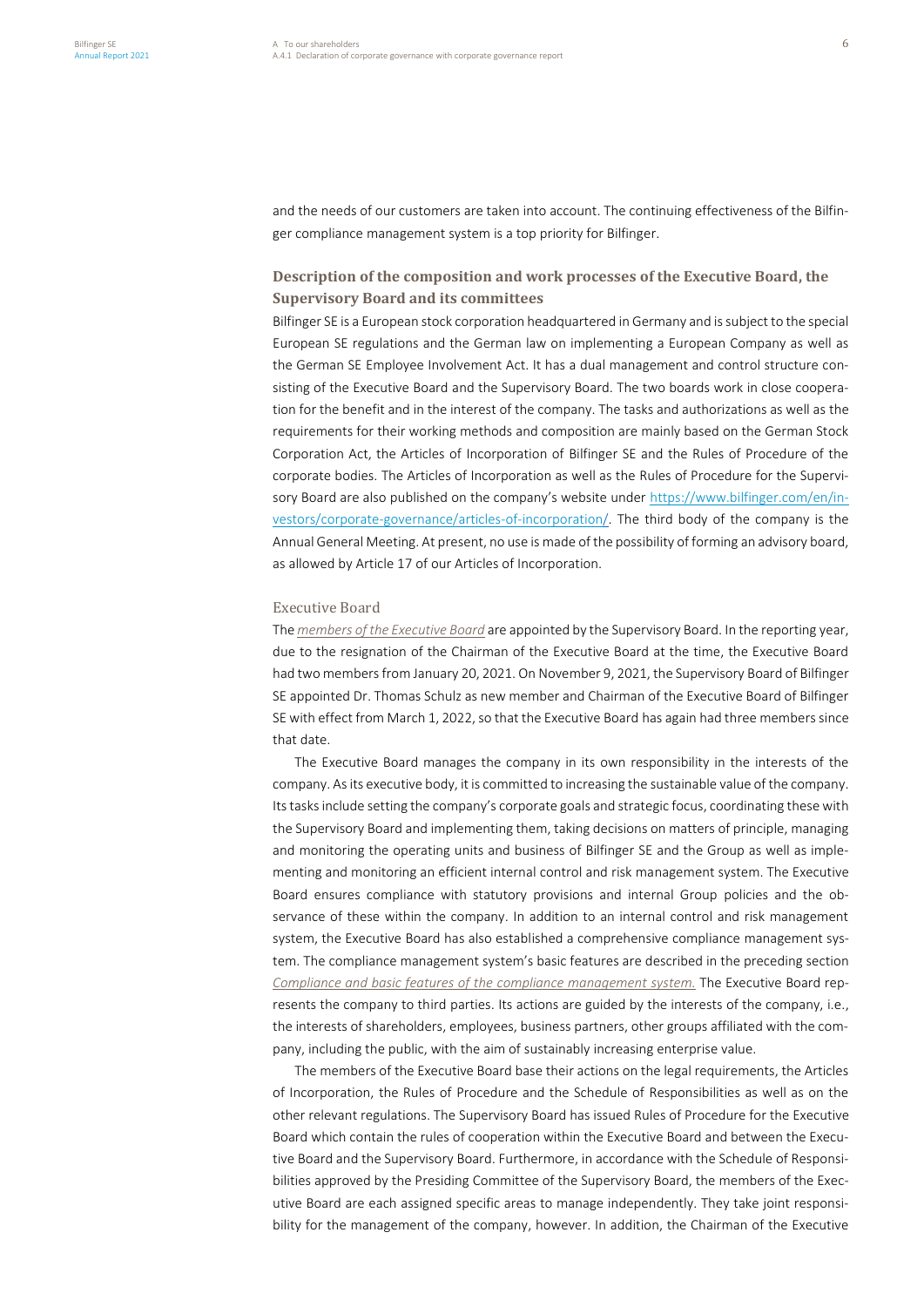and the needs of our customers are taken into account. The continuing effectiveness of the Bilfinger compliance management system is a top priority for Bilfinger.

# **Description of the composition and work processes of the Executive Board, the Supervisory Board and its committees**

Bilfinger SE is a European stock corporation headquartered in Germany and is subject to the special European SE regulations and the German law on implementing a European Company as well as the German SE Employee Involvement Act. It has a dual management and control structure consisting of the Executive Board and the Supervisory Board. The two boards work in close cooperation for the benefit and in the interest of the company. The tasks and authorizations as well as the requirements for their working methods and composition are mainly based on the German Stock Corporation Act, the Articles of Incorporation of Bilfinger SE and the Rules of Procedure of the corporate bodies. The Articles of Incorporation as well as the Rules of Procedure for the Supervisory Board are also published on the company's website under [https://www.bilfinger.com/en/in](https://www.bilfinger.com/en/investors/corporate-governance/articles-of-incorporation/)[vestors/corporate-governance/articles-of-incorporation/.](https://www.bilfinger.com/en/investors/corporate-governance/articles-of-incorporation/) The third body of the company is the Annual General Meeting. At present, no use is made of the possibility of forming an advisory board, as allowed by Article 17 of our Articles of Incorporation.

## Executive Board

The *members of the Executive Board* are appointed by the Supervisory Board. In the reporting year, due to the resignation of the Chairman of the Executive Board at the time, the Executive Board had two members from January 20, 2021. On November 9, 2021, the Supervisory Board of Bilfinger SE appointed Dr. Thomas Schulz as new member and Chairman of the Executive Board of Bilfinger SE with effect from March 1, 2022, so that the Executive Board has again had three members since that date.

The Executive Board manages the company in its own responsibility in the interests of the company. As its executive body, it is committed to increasing the sustainable value of the company. Its tasks include setting the company's corporate goals and strategic focus, coordinating these with the Supervisory Board and implementing them, taking decisions on matters of principle, managing and monitoring the operating units and business of Bilfinger SE and the Group as well as implementing and monitoring an efficient internal control and risk management system. The Executive Board ensures compliance with statutory provisions and internal Group policies and the observance of these within the company. In addition to an internal control and risk management system, the Executive Board has also established a comprehensive compliance management system. The compliance management system's basic features are described in the preceding section *Compliance and basic features of the compliance management system.* The Executive Board represents the company to third parties. Its actions are guided by the interests of the company, i.e., the interests of shareholders, employees, business partners, other groups affiliated with the company, including the public, with the aim of sustainably increasing enterprise value.

The members of the Executive Board base their actions on the legal requirements, the Articles of Incorporation, the Rules of Procedure and the Schedule of Responsibilities as well as on the other relevant regulations. The Supervisory Board has issued Rules of Procedure for the Executive Board which contain the rules of cooperation within the Executive Board and between the Executive Board and the Supervisory Board. Furthermore, in accordance with the Schedule of Responsibilities approved by the Presiding Committee of the Supervisory Board, the members of the Executive Board are each assigned specific areas to manage independently. They take joint responsibility for the management of the company, however. In addition, the Chairman of the Executive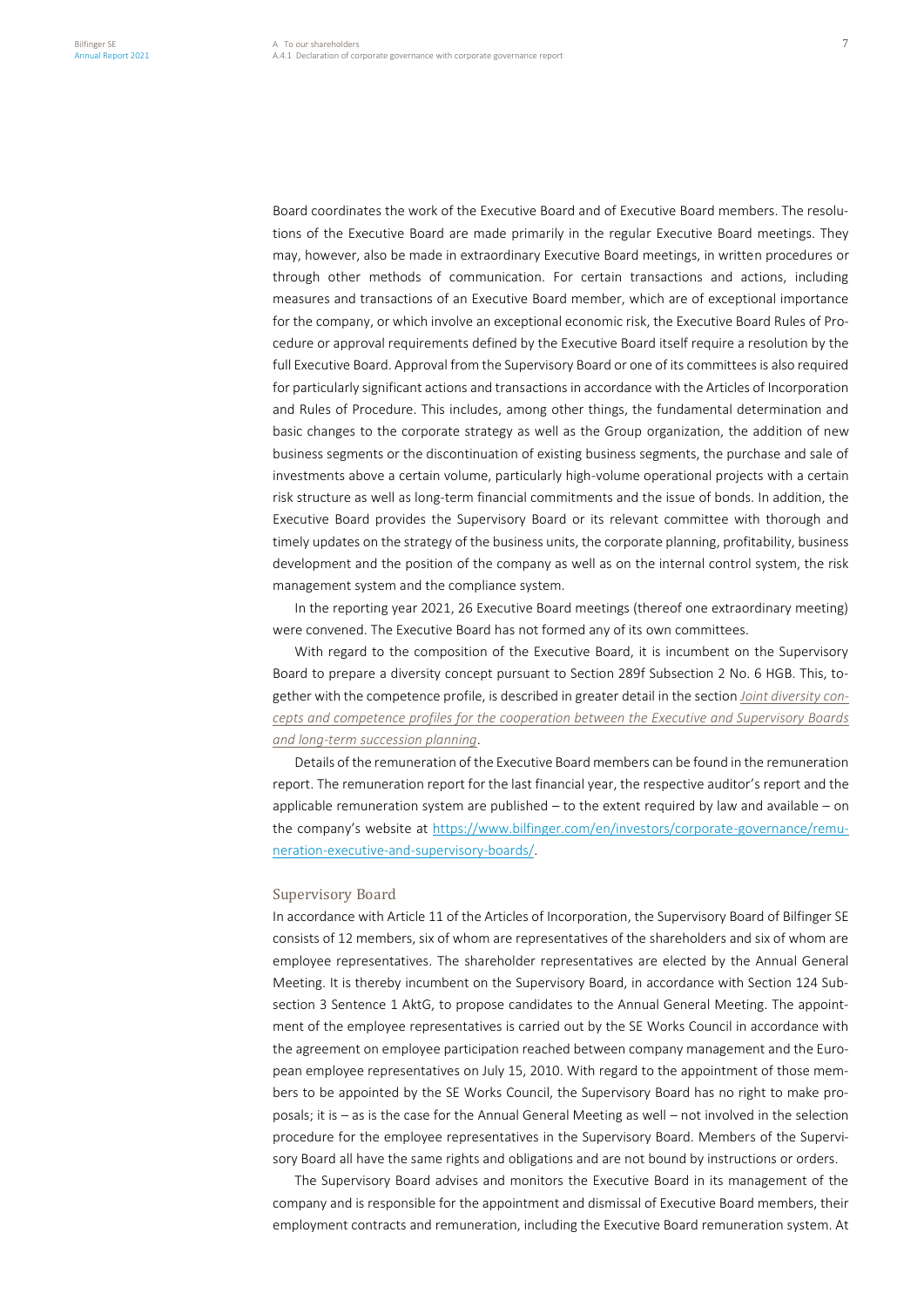Board coordinates the work of the Executive Board and of Executive Board members. The resolutions of the Executive Board are made primarily in the regular Executive Board meetings. They may, however, also be made in extraordinary Executive Board meetings, in written procedures or through other methods of communication. For certain transactions and actions, including measures and transactions of an Executive Board member, which are of exceptional importance for the company, or which involve an exceptional economic risk, the Executive Board Rules of Procedure or approval requirements defined by the Executive Board itself require a resolution by the full Executive Board. Approval from the Supervisory Board or one of its committees is also required for particularly significant actions and transactions in accordance with the Articles of Incorporation and Rules of Procedure. This includes, among other things, the fundamental determination and basic changes to the corporate strategy as well as the Group organization, the addition of new business segments or the discontinuation of existing business segments, the purchase and sale of investments above a certain volume, particularly high-volume operational projects with a certain risk structure as well as long-term financial commitments and the issue of bonds. In addition, the Executive Board provides the Supervisory Board or its relevant committee with thorough and timely updates on the strategy of the business units, the corporate planning, profitability, business development and the position of the company as well as on the internal control system, the risk management system and the compliance system.

In the reporting year 2021, 26 Executive Board meetings (thereof one extraordinary meeting) were convened. The Executive Board has not formed any of its own committees.

With regard to the composition of the Executive Board, it is incumbent on the Supervisory Board to prepare a diversity concept pursuant to Section 289f Subsection 2 No. 6 HGB. This, together with the competence profile, is described in greater detail in the section *Joint diversity concepts and competence profiles for the cooperation between the Executive and Supervisory Boards and long-term succession planning*.

Details of the remuneration of the Executive Board members can be found in the remuneration report. The remuneration report for the last financial year, the respective auditor's report and the applicable remuneration system are published – to the extent required by law and available – on the company's website at [https://www.bilfinger.com/en/investors/corporate-governance/remu](https://www.bilfinger.com/en/investors/corporate-governance/remuneration-executive-and-supervisory-boards/)[neration-executive-and-supervisory-boards/.](https://www.bilfinger.com/en/investors/corporate-governance/remuneration-executive-and-supervisory-boards/)

#### Supervisory Board

In accordance with Article 11 of the Articles of Incorporation, the Supervisory Board of Bilfinger SE consists of 12 members, six of whom are representatives of the shareholders and six of whom are employee representatives. The shareholder representatives are elected by the Annual General Meeting. It is thereby incumbent on the Supervisory Board, in accordance with Section 124 Subsection 3 Sentence 1 AktG, to propose candidates to the Annual General Meeting. The appointment of the employee representatives is carried out by the SE Works Council in accordance with the agreement on employee participation reached between company management and the European employee representatives on July 15, 2010. With regard to the appointment of those members to be appointed by the SE Works Council, the Supervisory Board has no right to make proposals; it is – as is the case for the Annual General Meeting as well – not involved in the selection procedure for the employee representatives in the Supervisory Board. Members of the Supervisory Board all have the same rights and obligations and are not bound by instructions or orders.

The Supervisory Board advises and monitors the Executive Board in its management of the company and is responsible for the appointment and dismissal of Executive Board members, their employment contracts and remuneration, including the Executive Board remuneration system. At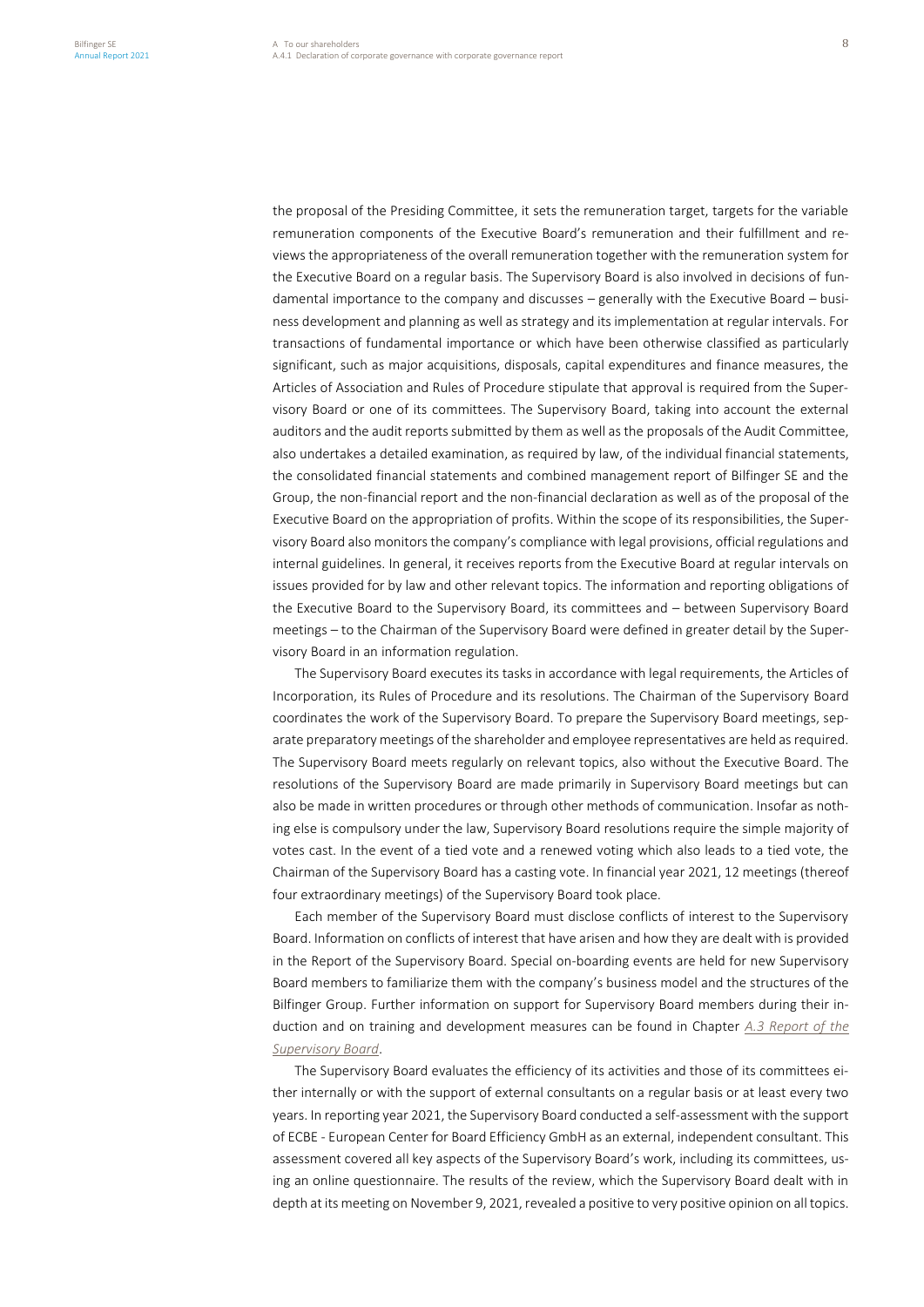the proposal of the Presiding Committee, it sets the remuneration target, targets for the variable remuneration components of the Executive Board's remuneration and their fulfillment and reviews the appropriateness of the overall remuneration together with the remuneration system for the Executive Board on a regular basis. The Supervisory Board is also involved in decisions of fundamental importance to the company and discusses – generally with the Executive Board – business development and planning as well as strategy and its implementation at regular intervals. For transactions of fundamental importance or which have been otherwise classified as particularly significant, such as major acquisitions, disposals, capital expenditures and finance measures, the Articles of Association and Rules of Procedure stipulate that approval is required from the Supervisory Board or one of its committees. The Supervisory Board, taking into account the external auditors and the audit reports submitted by them as well as the proposals of the Audit Committee, also undertakes a detailed examination, as required by law, of the individual financial statements, the consolidated financial statements and combined management report of Bilfinger SE and the Group, the non-financial report and the non-financial declaration as well as of the proposal of the Executive Board on the appropriation of profits. Within the scope of its responsibilities, the Supervisory Board also monitors the company's compliance with legal provisions, official regulations and internal guidelines. In general, it receives reports from the Executive Board at regular intervals on issues provided for by law and other relevant topics. The information and reporting obligations of the Executive Board to the Supervisory Board, its committees and – between Supervisory Board meetings – to the Chairman of the Supervisory Board were defined in greater detail by the Supervisory Board in an information regulation.

The Supervisory Board executes its tasks in accordance with legal requirements, the Articles of Incorporation, its Rules of Procedure and its resolutions. The Chairman of the Supervisory Board coordinates the work of the Supervisory Board. To prepare the Supervisory Board meetings, separate preparatory meetings of the shareholder and employee representatives are held as required. The Supervisory Board meets regularly on relevant topics, also without the Executive Board. The resolutions of the Supervisory Board are made primarily in Supervisory Board meetings but can also be made in written procedures or through other methods of communication. Insofar as nothing else is compulsory under the law, Supervisory Board resolutions require the simple majority of votes cast. In the event of a tied vote and a renewed voting which also leads to a tied vote, the Chairman of the Supervisory Board has a casting vote. In financial year 2021, 12 meetings (thereof four extraordinary meetings) of the Supervisory Board took place.

Each member of the Supervisory Board must disclose conflicts of interest to the Supervisory Board. Information on conflicts of interest that have arisen and how they are dealt with is provided in the Report of the Supervisory Board. Special on-boarding events are held for new Supervisory Board members to familiarize them with the company's business model and the structures of the Bilfinger Group. Further information on support for Supervisory Board members during their induction and on training and development measures can be found in Chapter *A.3 Report of the Supervisory Board*.

The Supervisory Board evaluates the efficiency of its activities and those of its committees either internally or with the support of external consultants on a regular basis or at least every two years. In reporting year 2021, the Supervisory Board conducted a self-assessment with the support of ECBE - European Center for Board Efficiency GmbH as an external, independent consultant. This assessment covered all key aspects of the Supervisory Board's work, including its committees, using an online questionnaire. The results of the review, which the Supervisory Board dealt with in depth at its meeting on November 9, 2021, revealed a positive to very positive opinion on all topics.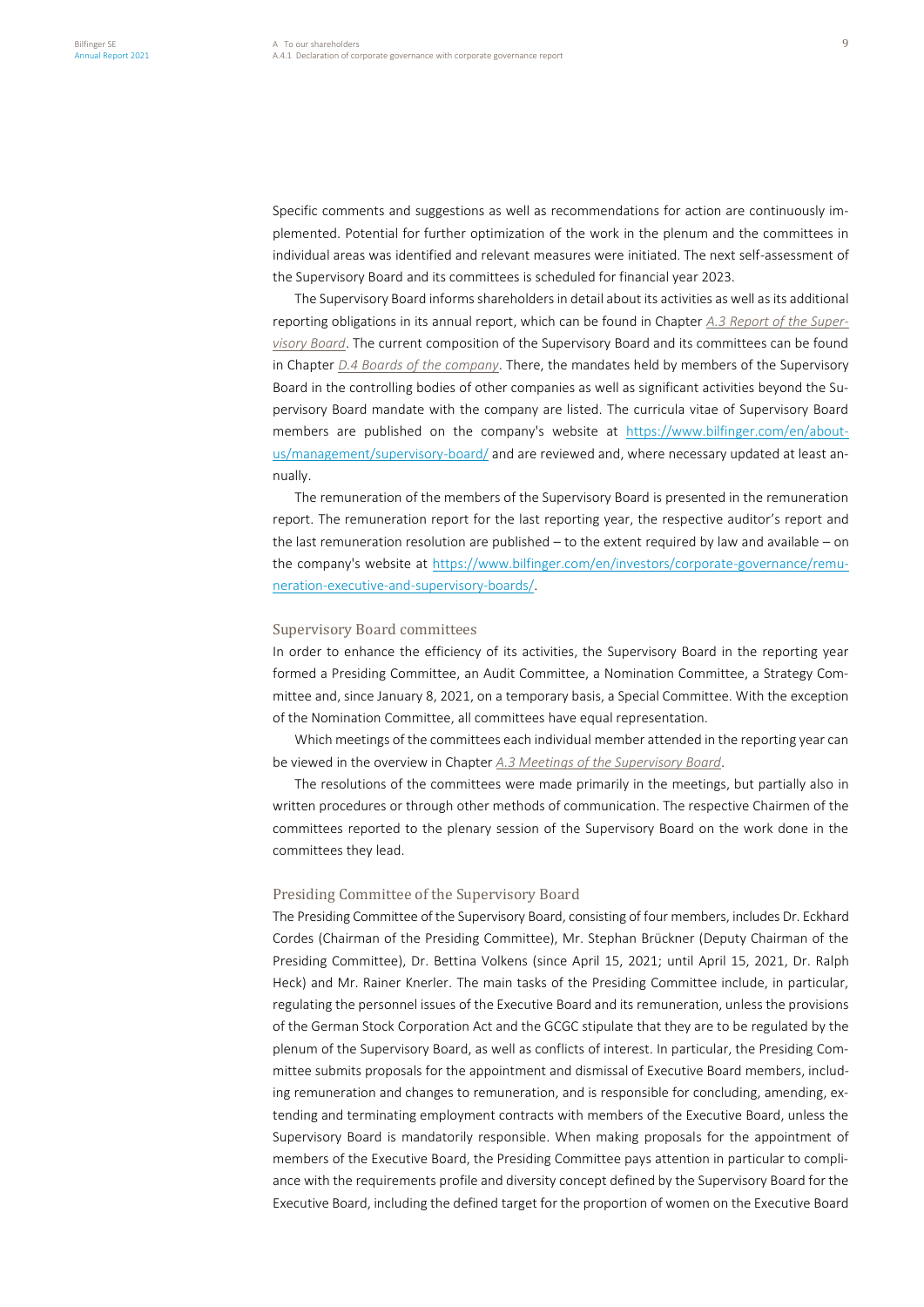Specific comments and suggestions as well as recommendations for action are continuously implemented. Potential for further optimization of the work in the plenum and the committees in individual areas was identified and relevant measures were initiated. The next self-assessment of the Supervisory Board and its committees is scheduled for financial year 2023.

The Supervisory Board informs shareholders in detail about its activities as well as its additional reporting obligations in its annual report, which can be found in Chapter *A.3 Report of the Supervisory Board*. The current composition of the Supervisory Board and its committees can be found in Chapter *D.4 Boards of the company*. There, the mandates held by members of the Supervisory Board in the controlling bodies of other companies as well as significant activities beyond the Supervisory Board mandate with the company are listed. The curricula vitae of Supervisory Board members are published on the company's website at [https://www.bilfinger.com/en/about](https://www.bilfinger.com/en/about-us/management/supervisory-board/)[us/management/supervisory-board/](https://www.bilfinger.com/en/about-us/management/supervisory-board/) and are reviewed and, where necessary updated at least annually.

The remuneration of the members of the Supervisory Board is presented in the remuneration report. The remuneration report for the last reporting year, the respective auditor's report and the last remuneration resolution are published – to the extent required by law and available – on the company's website at [https://www.bilfinger.com/en/investors/corporate-governance/remu](https://www.bilfinger.com/en/investors/corporate-governance/remuneration-executive-and-supervisory-boards/)[neration-executive-and-supervisory-boards/.](https://www.bilfinger.com/en/investors/corporate-governance/remuneration-executive-and-supervisory-boards/)

## Supervisory Board committees

In order to enhance the efficiency of its activities, the Supervisory Board in the reporting year formed a Presiding Committee, an Audit Committee, a Nomination Committee, a Strategy Committee and, since January 8, 2021, on a temporary basis, a Special Committee. With the exception of the Nomination Committee, all committees have equal representation.

Which meetings of the committees each individual member attended in the reporting year can be viewed in the overview in Chapter *A.3 Meetings of the Supervisory Board*.

The resolutions of the committees were made primarily in the meetings, but partially also in written procedures or through other methods of communication. The respective Chairmen of the committees reported to the plenary session of the Supervisory Board on the work done in the committees they lead.

## Presiding Committee of the Supervisory Board

The Presiding Committee of the Supervisory Board, consisting of four members, includes Dr. Eckhard Cordes (Chairman of the Presiding Committee), Mr. Stephan Brückner (Deputy Chairman of the Presiding Committee), Dr. Bettina Volkens (since April 15, 2021; until April 15, 2021, Dr. Ralph Heck) and Mr. Rainer Knerler. The main tasks of the Presiding Committee include, in particular, regulating the personnel issues of the Executive Board and its remuneration, unless the provisions of the German Stock Corporation Act and the GCGC stipulate that they are to be regulated by the plenum of the Supervisory Board, as well as conflicts of interest. In particular, the Presiding Committee submits proposals for the appointment and dismissal of Executive Board members, including remuneration and changes to remuneration, and is responsible for concluding, amending, extending and terminating employment contracts with members of the Executive Board, unless the Supervisory Board is mandatorily responsible. When making proposals for the appointment of members of the Executive Board, the Presiding Committee pays attention in particular to compliance with the requirements profile and diversity concept defined by the Supervisory Board for the Executive Board, including the defined target for the proportion of women on the Executive Board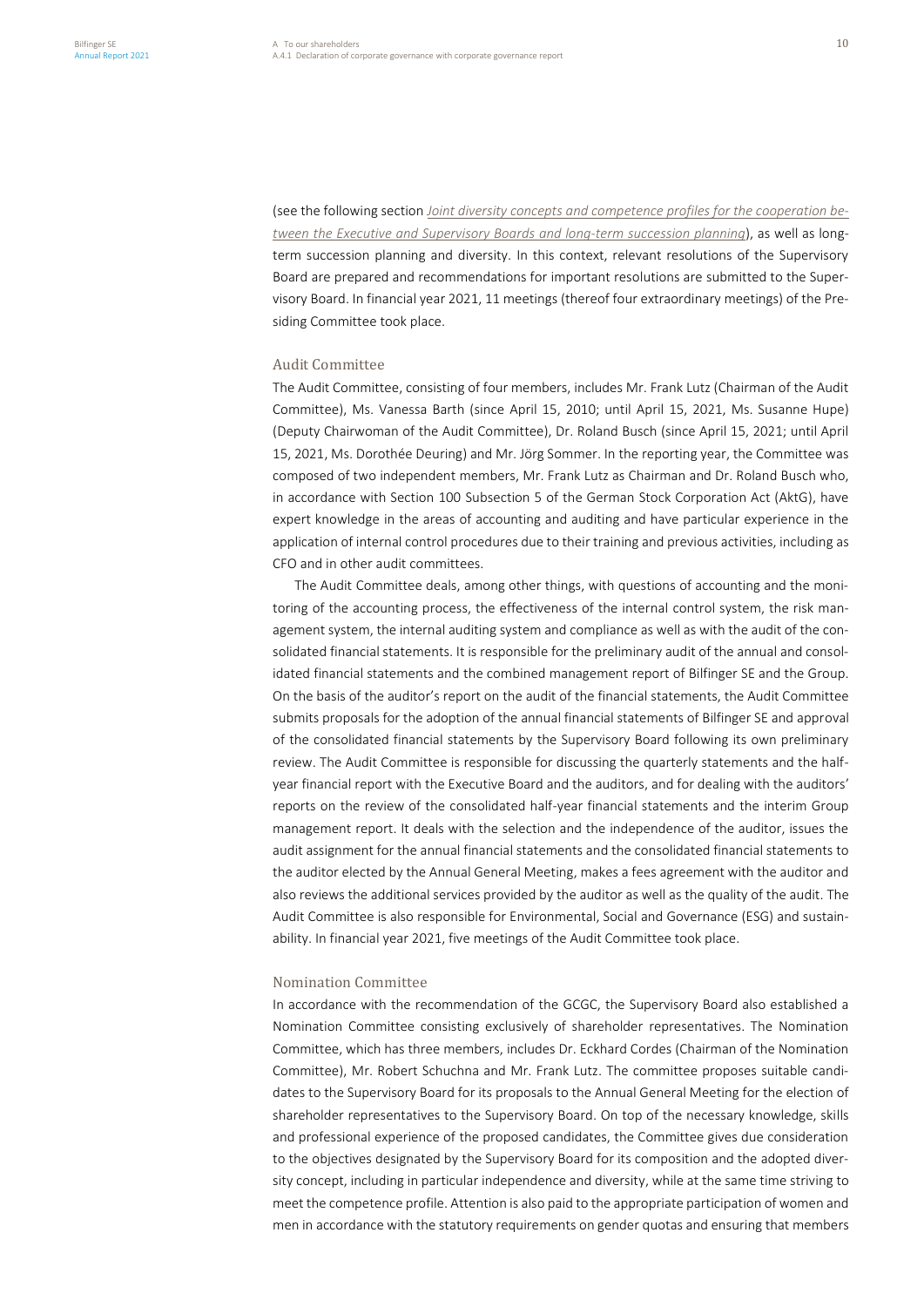(see the following section *Joint diversity concepts and competence profiles for the cooperation between the Executive and Supervisory Boards and long-term succession planning*), as well as longterm succession planning and diversity. In this context, relevant resolutions of the Supervisory Board are prepared and recommendations for important resolutions are submitted to the Supervisory Board. In financial year 2021, 11 meetings (thereof four extraordinary meetings) of the Presiding Committee took place.

## Audit Committee

The Audit Committee, consisting of four members, includes Mr. Frank Lutz (Chairman of the Audit Committee), Ms. Vanessa Barth (since April 15, 2010; until April 15, 2021, Ms. Susanne Hupe) (Deputy Chairwoman of the Audit Committee), Dr. Roland Busch (since April 15, 2021; until April 15, 2021, Ms. Dorothée Deuring) and Mr. Jörg Sommer. In the reporting year, the Committee was composed of two independent members, Mr. Frank Lutz as Chairman and Dr. Roland Busch who, in accordance with Section 100 Subsection 5 of the German Stock Corporation Act (AktG), have expert knowledge in the areas of accounting and auditing and have particular experience in the application of internal control procedures due to their training and previous activities, including as CFO and in other audit committees.

The Audit Committee deals, among other things, with questions of accounting and the monitoring of the accounting process, the effectiveness of the internal control system, the risk management system, the internal auditing system and compliance as well as with the audit of the consolidated financial statements. It is responsible for the preliminary audit of the annual and consolidated financial statements and the combined management report of Bilfinger SE and the Group. On the basis of the auditor's report on the audit of the financial statements, the Audit Committee submits proposals for the adoption of the annual financial statements of Bilfinger SE and approval of the consolidated financial statements by the Supervisory Board following its own preliminary review. The Audit Committee is responsible for discussing the quarterly statements and the halfyear financial report with the Executive Board and the auditors, and for dealing with the auditors' reports on the review of the consolidated half-year financial statements and the interim Group management report. It deals with the selection and the independence of the auditor, issues the audit assignment for the annual financial statements and the consolidated financial statements to the auditor elected by the Annual General Meeting, makes a fees agreement with the auditor and also reviews the additional services provided by the auditor as well as the quality of the audit. The Audit Committee is also responsible for Environmental, Social and Governance (ESG) and sustainability. In financial year 2021, five meetings of the Audit Committee took place.

## Nomination Committee

In accordance with the recommendation of the GCGC, the Supervisory Board also established a Nomination Committee consisting exclusively of shareholder representatives. The Nomination Committee, which has three members, includes Dr. Eckhard Cordes (Chairman of the Nomination Committee), Mr. Robert Schuchna and Mr. Frank Lutz. The committee proposes suitable candidates to the Supervisory Board for its proposals to the Annual General Meeting for the election of shareholder representatives to the Supervisory Board. On top of the necessary knowledge, skills and professional experience of the proposed candidates, the Committee gives due consideration to the objectives designated by the Supervisory Board for its composition and the adopted diversity concept, including in particular independence and diversity, while at the same time striving to meet the competence profile. Attention is also paid to the appropriate participation of women and men in accordance with the statutory requirements on gender quotas and ensuring that members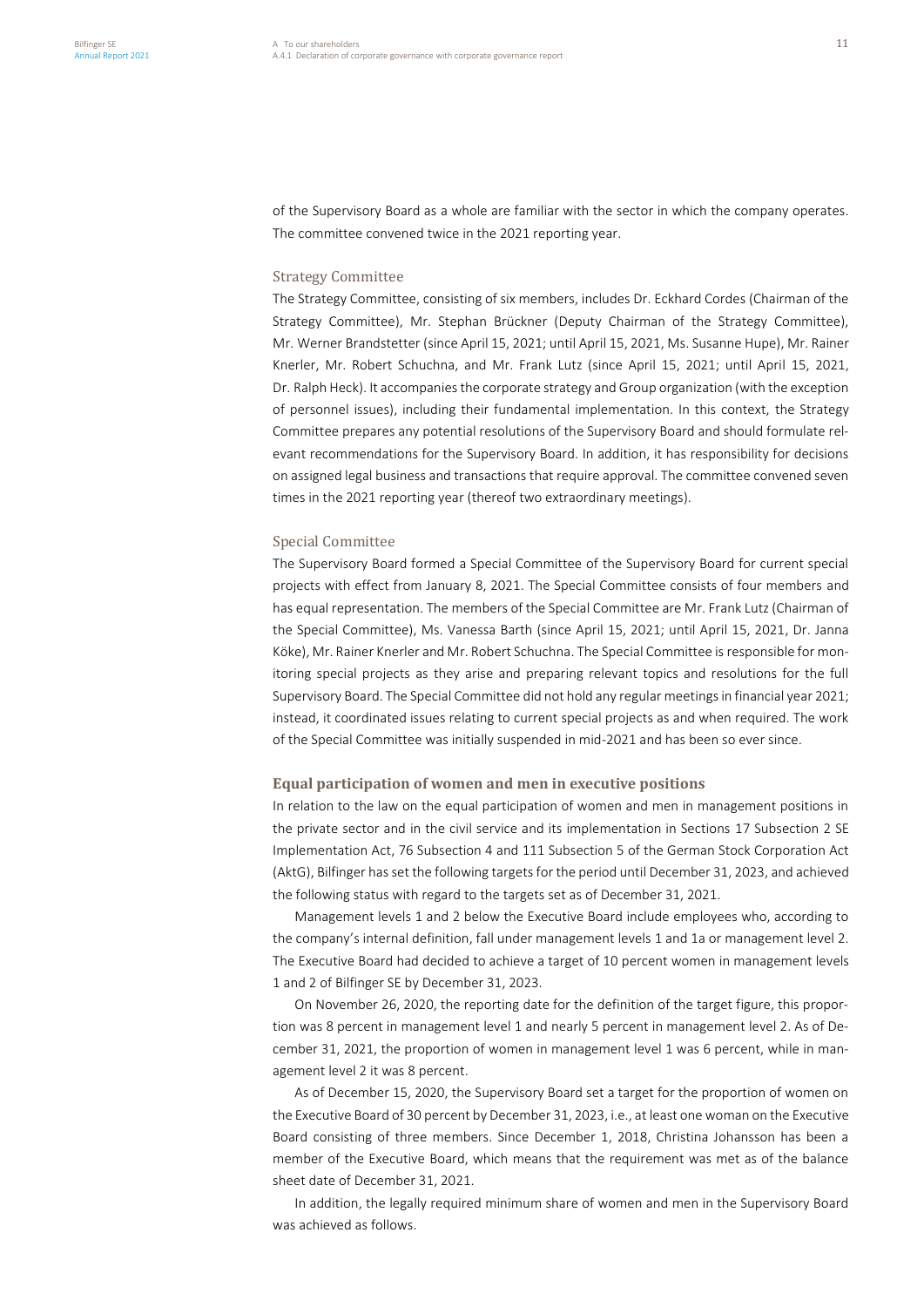of the Supervisory Board as a whole are familiar with the sector in which the company operates. The committee convened twice in the 2021 reporting year.

### Strategy Committee

The Strategy Committee, consisting of six members, includes Dr. Eckhard Cordes (Chairman of the Strategy Committee), Mr. Stephan Brückner (Deputy Chairman of the Strategy Committee), Mr. Werner Brandstetter (since April 15, 2021; until April 15, 2021, Ms. Susanne Hupe), Mr. Rainer Knerler, Mr. Robert Schuchna, and Mr. Frank Lutz (since April 15, 2021; until April 15, 2021, Dr. Ralph Heck). It accompanies the corporate strategy and Group organization (with the exception of personnel issues), including their fundamental implementation. In this context, the Strategy Committee prepares any potential resolutions of the Supervisory Board and should formulate relevant recommendations for the Supervisory Board. In addition, it has responsibility for decisions on assigned legal business and transactions that require approval. The committee convened seven times in the 2021 reporting year (thereof two extraordinary meetings).

#### Special Committee

The Supervisory Board formed a Special Committee of the Supervisory Board for current special projects with effect from January 8, 2021. The Special Committee consists of four members and has equal representation. The members of the Special Committee are Mr. Frank Lutz (Chairman of the Special Committee), Ms. Vanessa Barth (since April 15, 2021; until April 15, 2021, Dr. Janna Köke), Mr. Rainer Knerler and Mr. Robert Schuchna. The Special Committee is responsible for monitoring special projects as they arise and preparing relevant topics and resolutions for the full Supervisory Board. The Special Committee did not hold any regular meetings in financial year 2021; instead, it coordinated issues relating to current special projects as and when required. The work of the Special Committee was initially suspended in mid-2021 and has been so ever since.

## **Equal participation of women and men in executive positions**

In relation to the law on the equal participation of women and men in management positions in the private sector and in the civil service and its implementation in Sections 17 Subsection 2 SE Implementation Act, 76 Subsection 4 and 111 Subsection 5 of the German Stock Corporation Act (AktG), Bilfinger has set the following targets for the period until December 31, 2023, and achieved the following status with regard to the targets set as of December 31, 2021.

Management levels 1 and 2 below the Executive Board include employees who, according to the company's internal definition, fall under management levels 1 and 1a or management level 2. The Executive Board had decided to achieve a target of 10 percent women in management levels 1 and 2 of Bilfinger SE by December 31, 2023.

On November 26, 2020, the reporting date for the definition of the target figure, this proportion was 8 percent in management level 1 and nearly 5 percent in management level 2. As of December 31, 2021, the proportion of women in management level 1 was 6 percent, while in management level 2 it was 8 percent.

As of December 15, 2020, the Supervisory Board set a target for the proportion of women on the Executive Board of 30 percent by December 31, 2023, i.e., at least one woman on the Executive Board consisting of three members. Since December 1, 2018, Christina Johansson has been a member of the Executive Board, which means that the requirement was met as of the balance sheet date of December 31, 2021.

In addition, the legally required minimum share of women and men in the Supervisory Board was achieved as follows.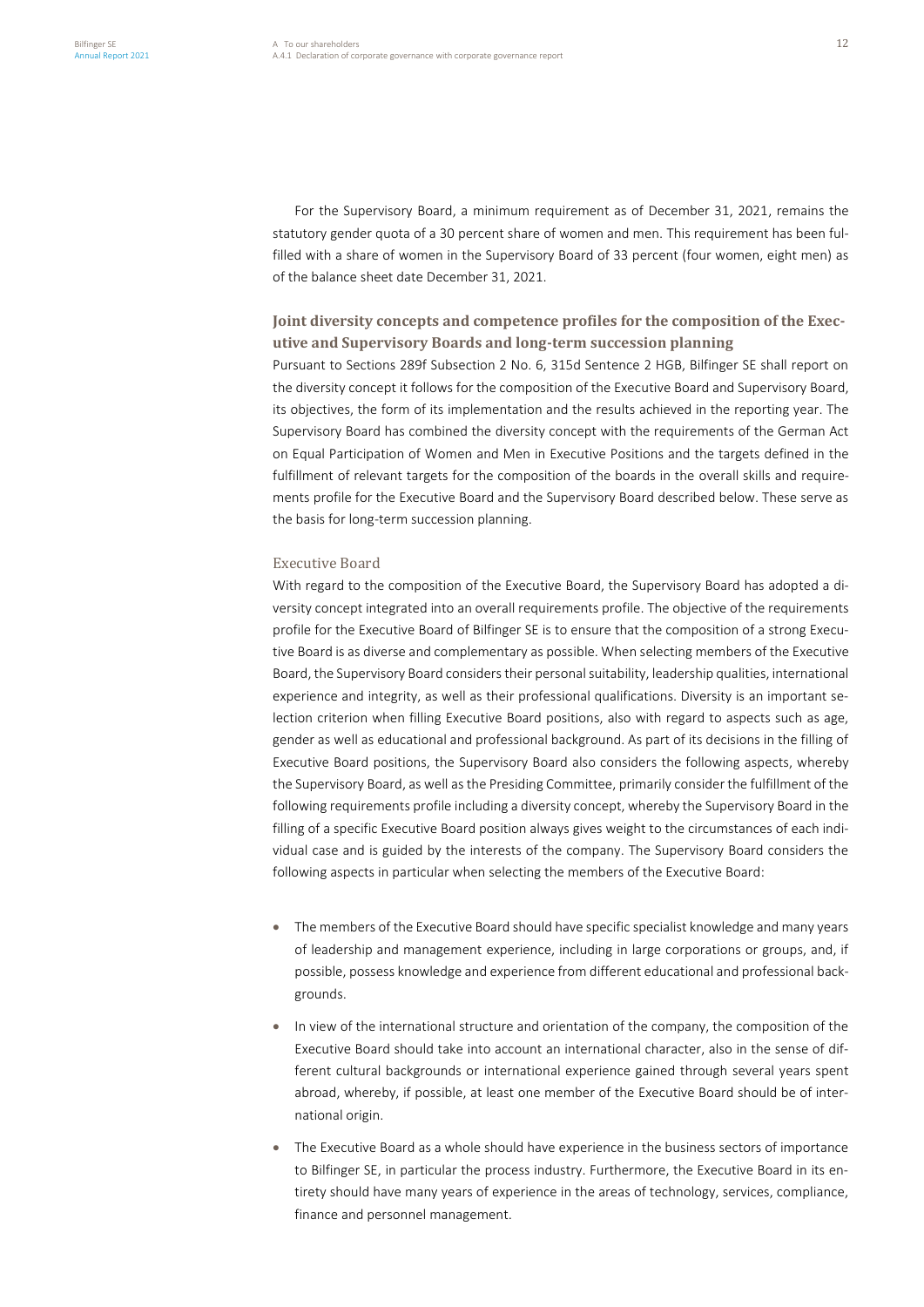For the Supervisory Board, a minimum requirement as of December 31, 2021, remains the statutory gender quota of a 30 percent share of women and men. This requirement has been fulfilled with a share of women in the Supervisory Board of 33 percent (four women, eight men) as of the balance sheet date December 31, 2021.

# **Joint diversity concepts and competence profiles for the composition of the Executive and Supervisory Boards and long-term succession planning**

Pursuant to Sections 289f Subsection 2 No. 6, 315d Sentence 2 HGB, Bilfinger SE shall report on the diversity concept it follows for the composition of the Executive Board and Supervisory Board, its objectives, the form of its implementation and the results achieved in the reporting year. The Supervisory Board has combined the diversity concept with the requirements of the German Act on Equal Participation of Women and Men in Executive Positions and the targets defined in the fulfillment of relevant targets for the composition of the boards in the overall skills and requirements profile for the Executive Board and the Supervisory Board described below. These serve as the basis for long-term succession planning.

## Executive Board

With regard to the composition of the Executive Board, the Supervisory Board has adopted a diversity concept integrated into an overall requirements profile. The objective of the requirements profile for the Executive Board of Bilfinger SE is to ensure that the composition of a strong Executive Board is as diverse and complementary as possible. When selecting members of the Executive Board, the Supervisory Board considers their personal suitability, leadership qualities, international experience and integrity, as well as their professional qualifications. Diversity is an important selection criterion when filling Executive Board positions, also with regard to aspects such as age, gender as well as educational and professional background. As part of its decisions in the filling of Executive Board positions, the Supervisory Board also considers the following aspects, whereby the Supervisory Board, as well as the Presiding Committee, primarily consider the fulfillment of the following requirements profile including a diversity concept, whereby the Supervisory Board in the filling of a specific Executive Board position always gives weight to the circumstances of each individual case and is guided by the interests of the company. The Supervisory Board considers the following aspects in particular when selecting the members of the Executive Board:

- The members of the Executive Board should have specific specialist knowledge and many years of leadership and management experience, including in large corporations or groups, and, if possible, possess knowledge and experience from different educational and professional backgrounds.
- In view of the international structure and orientation of the company, the composition of the Executive Board should take into account an international character, also in the sense of different cultural backgrounds or international experience gained through several years spent abroad, whereby, if possible, at least one member of the Executive Board should be of international origin.
- The Executive Board as a whole should have experience in the business sectors of importance to Bilfinger SE, in particular the process industry. Furthermore, the Executive Board in its entirety should have many years of experience in the areas of technology, services, compliance, finance and personnel management.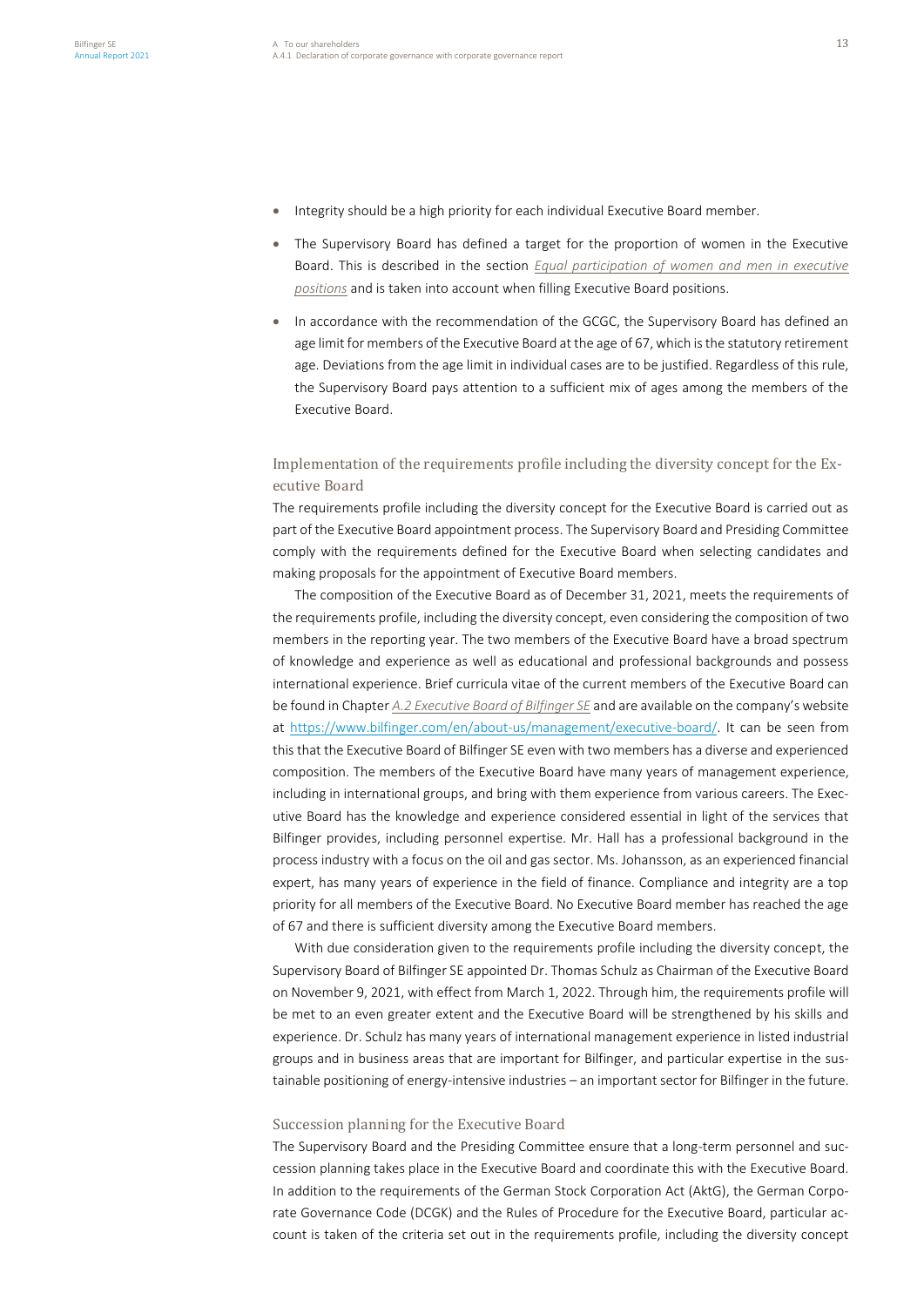- Integrity should be a high priority for each individual Executive Board member.
- The Supervisory Board has defined a target for the proportion of women in the Executive Board. This is described in the section *Equal participation of women and men in executive positions* and is taken into account when filling Executive Board positions.
- In accordance with the recommendation of the GCGC, the Supervisory Board has defined an age limit for members of the Executive Board at the age of 67, which is the statutory retirement age. Deviations from the age limit in individual cases are to be justified. Regardless of this rule, the Supervisory Board pays attention to a sufficient mix of ages among the members of the Executive Board.

# Implementation of the requirements profile including the diversity concept for the Executive Board

The requirements profile including the diversity concept for the Executive Board is carried out as part of the Executive Board appointment process. The Supervisory Board and Presiding Committee comply with the requirements defined for the Executive Board when selecting candidates and making proposals for the appointment of Executive Board members.

The composition of the Executive Board as of December 31, 2021, meets the requirements of the requirements profile, including the diversity concept, even considering the composition of two members in the reporting year. The two members of the Executive Board have a broad spectrum of knowledge and experience as well as educational and professional backgrounds and possess international experience. Brief curricula vitae of the current members of the Executive Board can be found in Chapter *A.2 Executive Board of Bilfinger SE* and are available on the company's website at [https://www.bilfinger.com/en/about-us/management/executive-board/.](https://www.bilfinger.com/en/about-us/management/executive-board/) It can be seen from this that the Executive Board of Bilfinger SE even with two members has a diverse and experienced composition. The members of the Executive Board have many years of management experience, including in international groups, and bring with them experience from various careers. The Executive Board has the knowledge and experience considered essential in light of the services that Bilfinger provides, including personnel expertise. Mr. Hall has a professional background in the process industry with a focus on the oil and gas sector. Ms. Johansson, as an experienced financial expert, has many years of experience in the field of finance. Compliance and integrity are a top priority for all members of the Executive Board. No Executive Board member has reached the age of 67 and there is sufficient diversity among the Executive Board members.

With due consideration given to the requirements profile including the diversity concept, the Supervisory Board of Bilfinger SE appointed Dr. Thomas Schulz as Chairman of the Executive Board on November 9, 2021, with effect from March 1, 2022. Through him, the requirements profile will be met to an even greater extent and the Executive Board will be strengthened by his skills and experience. Dr. Schulz has many years of international management experience in listed industrial groups and in business areas that are important for Bilfinger, and particular expertise in the sustainable positioning of energy-intensive industries – an important sector for Bilfinger in the future.

### Succession planning for the Executive Board

The Supervisory Board and the Presiding Committee ensure that a long-term personnel and succession planning takes place in the Executive Board and coordinate this with the Executive Board. In addition to the requirements of the German Stock Corporation Act (AktG), the German Corporate Governance Code (DCGK) and the Rules of Procedure for the Executive Board, particular account is taken of the criteria set out in the requirements profile, including the diversity concept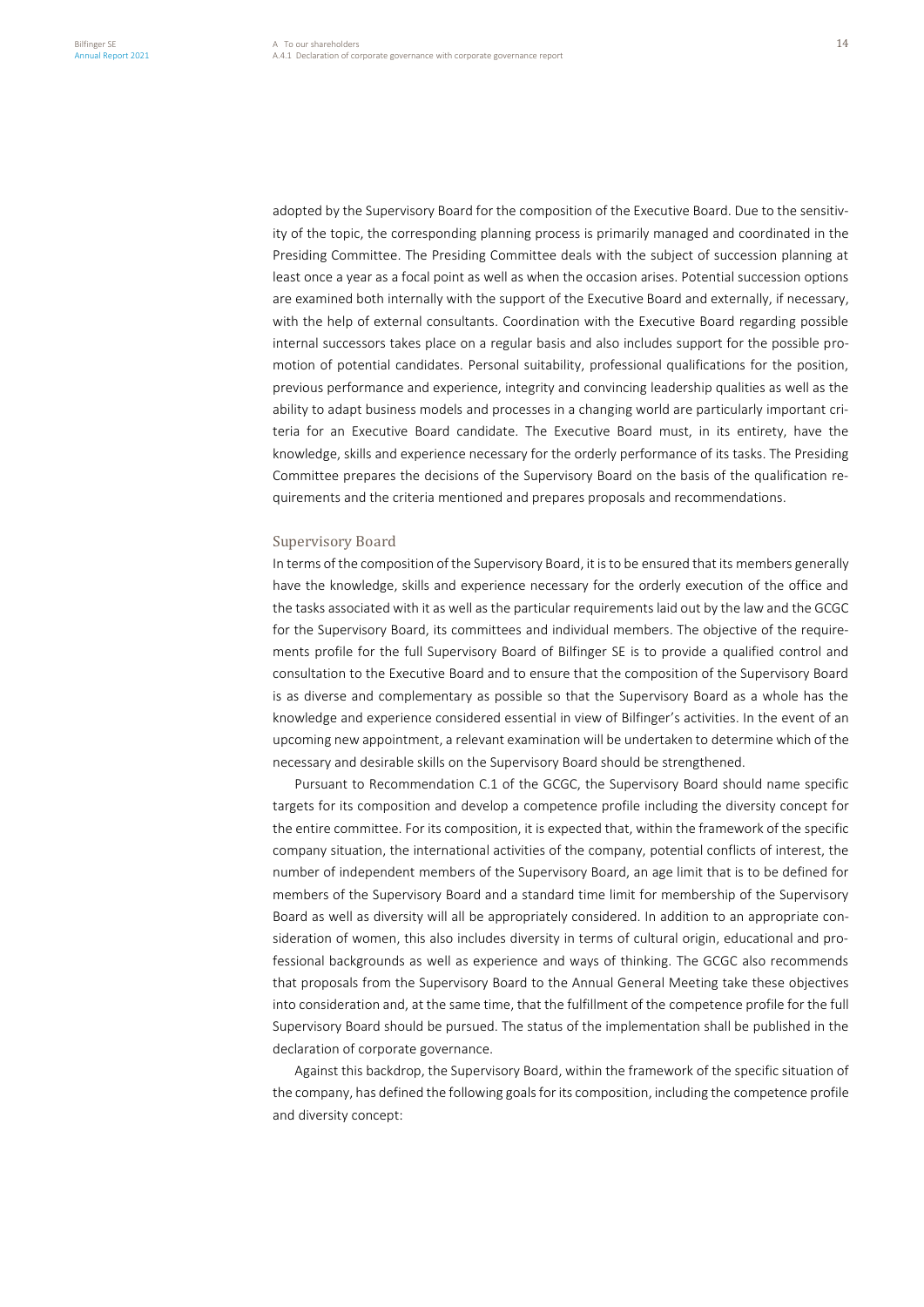adopted by the Supervisory Board for the composition of the Executive Board. Due to the sensitivity of the topic, the corresponding planning process is primarily managed and coordinated in the Presiding Committee. The Presiding Committee deals with the subject of succession planning at least once a year as a focal point as well as when the occasion arises. Potential succession options are examined both internally with the support of the Executive Board and externally, if necessary, with the help of external consultants. Coordination with the Executive Board regarding possible internal successors takes place on a regular basis and also includes support for the possible promotion of potential candidates. Personal suitability, professional qualifications for the position, previous performance and experience, integrity and convincing leadership qualities as well as the ability to adapt business models and processes in a changing world are particularly important criteria for an Executive Board candidate. The Executive Board must, in its entirety, have the knowledge, skills and experience necessary for the orderly performance of its tasks. The Presiding Committee prepares the decisions of the Supervisory Board on the basis of the qualification requirements and the criteria mentioned and prepares proposals and recommendations.

#### Supervisory Board

In terms of the composition of the Supervisory Board, it is to be ensured that its members generally have the knowledge, skills and experience necessary for the orderly execution of the office and the tasks associated with it as well as the particular requirements laid out by the law and the GCGC for the Supervisory Board, its committees and individual members. The objective of the requirements profile for the full Supervisory Board of Bilfinger SE is to provide a qualified control and consultation to the Executive Board and to ensure that the composition of the Supervisory Board is as diverse and complementary as possible so that the Supervisory Board as a whole has the knowledge and experience considered essential in view of Bilfinger's activities. In the event of an upcoming new appointment, a relevant examination will be undertaken to determine which of the necessary and desirable skills on the Supervisory Board should be strengthened.

Pursuant to Recommendation C.1 of the GCGC, the Supervisory Board should name specific targets for its composition and develop a competence profile including the diversity concept for the entire committee. For its composition, it is expected that, within the framework of the specific company situation, the international activities of the company, potential conflicts of interest, the number of independent members of the Supervisory Board, an age limit that is to be defined for members of the Supervisory Board and a standard time limit for membership of the Supervisory Board as well as diversity will all be appropriately considered. In addition to an appropriate consideration of women, this also includes diversity in terms of cultural origin, educational and professional backgrounds as well as experience and ways of thinking. The GCGC also recommends that proposals from the Supervisory Board to the Annual General Meeting take these objectives into consideration and, at the same time, that the fulfillment of the competence profile for the full Supervisory Board should be pursued. The status of the implementation shall be published in the declaration of corporate governance.

Against this backdrop, the Supervisory Board, within the framework of the specific situation of the company, has defined the following goals for its composition, including the competence profile and diversity concept: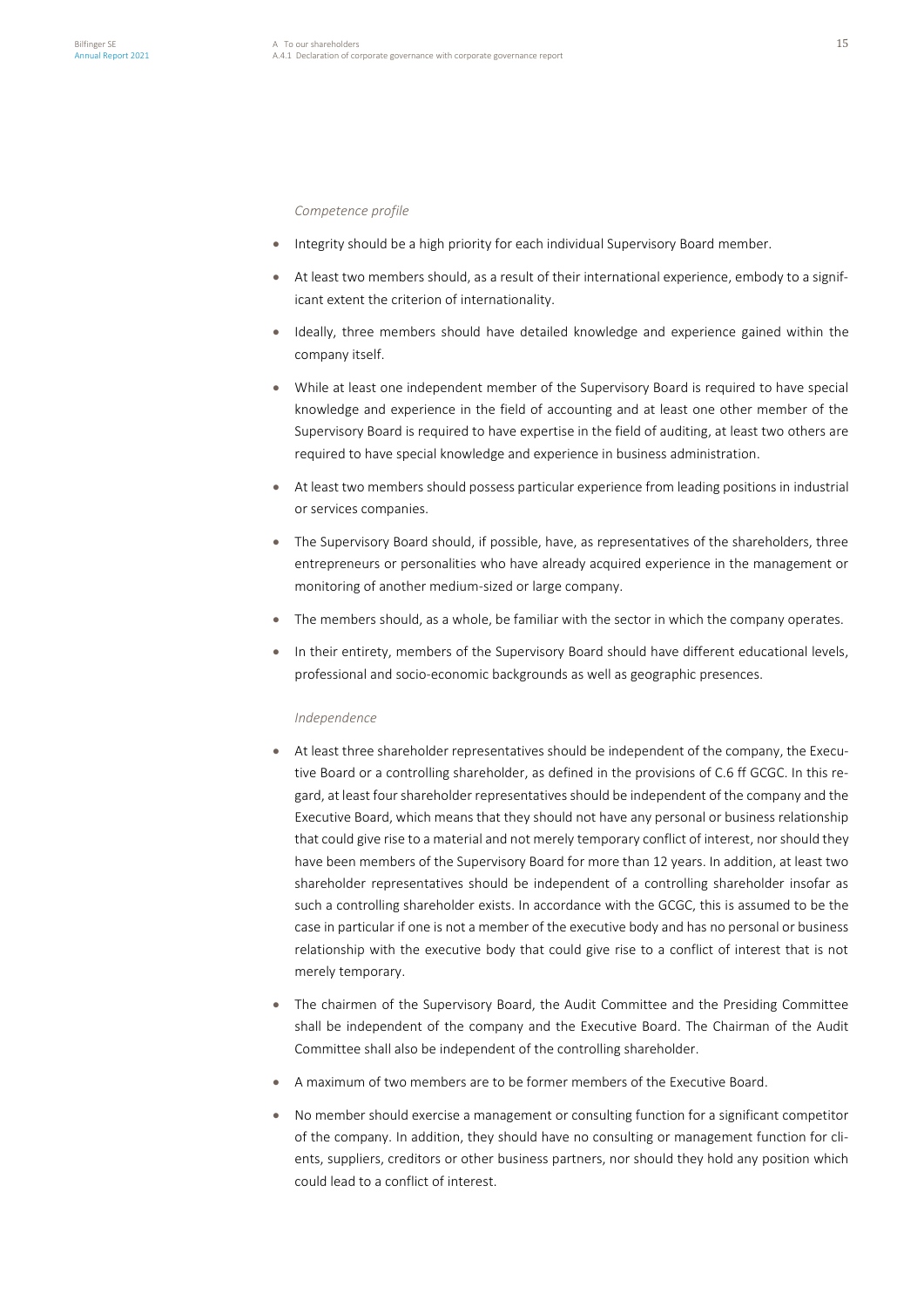*Competence profile* 

- Integrity should be a high priority for each individual Supervisory Board member.
- At least two members should, as a result of their international experience, embody to a significant extent the criterion of internationality.
- Ideally, three members should have detailed knowledge and experience gained within the company itself.
- While at least one independent member of the Supervisory Board is required to have special knowledge and experience in the field of accounting and at least one other member of the Supervisory Board is required to have expertise in the field of auditing, at least two others are required to have special knowledge and experience in business administration.
- At least two members should possess particular experience from leading positions in industrial or services companies.
- The Supervisory Board should, if possible, have, as representatives of the shareholders, three entrepreneurs or personalities who have already acquired experience in the management or monitoring of another medium-sized or large company.
- The members should, as a whole, be familiar with the sector in which the company operates.
- In their entirety, members of the Supervisory Board should have different educational levels, professional and socio-economic backgrounds as well as geographic presences.

#### *Independence*

- At least three shareholder representatives should be independent of the company, the Executive Board or a controlling shareholder, as defined in the provisions of C.6 ff GCGC. In this regard, at least four shareholder representatives should be independent of the company and the Executive Board, which means that they should not have any personal or business relationship that could give rise to a material and not merely temporary conflict of interest, nor should they have been members of the Supervisory Board for more than 12 years. In addition, at least two shareholder representatives should be independent of a controlling shareholder insofar as such a controlling shareholder exists. In accordance with the GCGC, this is assumed to be the case in particular if one is not a member of the executive body and has no personal or business relationship with the executive body that could give rise to a conflict of interest that is not merely temporary.
- The chairmen of the Supervisory Board, the Audit Committee and the Presiding Committee shall be independent of the company and the Executive Board. The Chairman of the Audit Committee shall also be independent of the controlling shareholder.
- A maximum of two members are to be former members of the Executive Board.
- No member should exercise a management or consulting function for a significant competitor of the company. In addition, they should have no consulting or management function for clients, suppliers, creditors or other business partners, nor should they hold any position which could lead to a conflict of interest.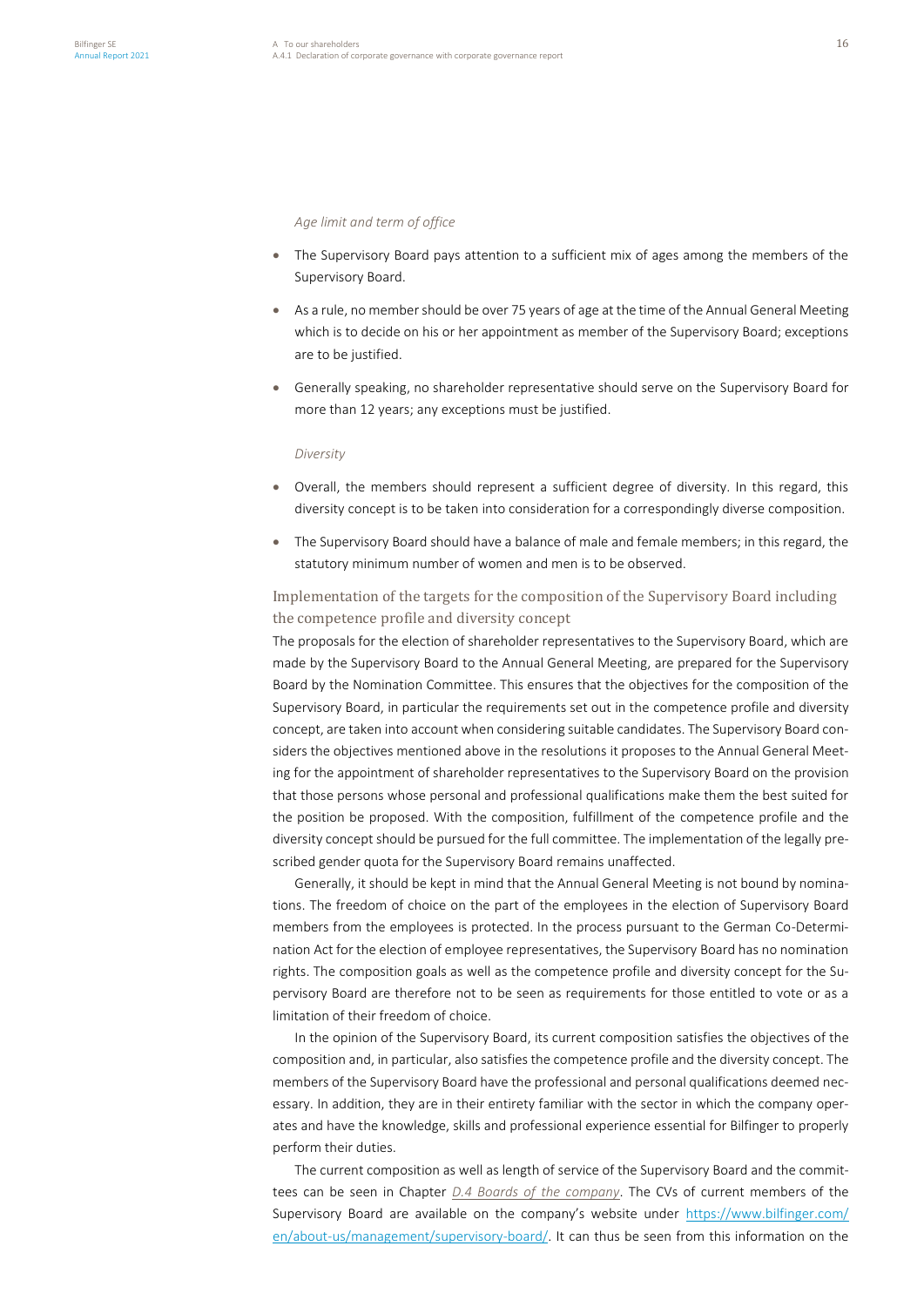#### *Age limit and term of office*

- The Supervisory Board pays attention to a sufficient mix of ages among the members of the Supervisory Board.
- As a rule, no member should be over 75 years of age at the time of the Annual General Meeting which is to decide on his or her appointment as member of the Supervisory Board; exceptions are to be justified.
- Generally speaking, no shareholder representative should serve on the Supervisory Board for more than 12 years; any exceptions must be justified.

#### *Diversity*

- Overall, the members should represent a sufficient degree of diversity. In this regard, this diversity concept is to be taken into consideration for a correspondingly diverse composition.
- The Supervisory Board should have a balance of male and female members; in this regard, the statutory minimum number of women and men is to be observed.

# Implementation of the targets for the composition of the Supervisory Board including the competence profile and diversity concept

The proposals for the election of shareholder representatives to the Supervisory Board, which are made by the Supervisory Board to the Annual General Meeting, are prepared for the Supervisory Board by the Nomination Committee. This ensures that the objectives for the composition of the Supervisory Board, in particular the requirements set out in the competence profile and diversity concept, are taken into account when considering suitable candidates. The Supervisory Board considers the objectives mentioned above in the resolutions it proposes to the Annual General Meeting for the appointment of shareholder representatives to the Supervisory Board on the provision that those persons whose personal and professional qualifications make them the best suited for the position be proposed. With the composition, fulfillment of the competence profile and the diversity concept should be pursued for the full committee. The implementation of the legally prescribed gender quota for the Supervisory Board remains unaffected.

Generally, it should be kept in mind that the Annual General Meeting is not bound by nominations. The freedom of choice on the part of the employees in the election of Supervisory Board members from the employees is protected. In the process pursuant to the German Co-Determination Act for the election of employee representatives, the Supervisory Board has no nomination rights. The composition goals as well as the competence profile and diversity concept for the Supervisory Board are therefore not to be seen as requirements for those entitled to vote or as a limitation of their freedom of choice.

In the opinion of the Supervisory Board, its current composition satisfies the objectives of the composition and, in particular, also satisfies the competence profile and the diversity concept. The members of the Supervisory Board have the professional and personal qualifications deemed necessary. In addition, they are in their entirety familiar with the sector in which the company operates and have the knowledge, skills and professional experience essential for Bilfinger to properly perform their duties.

The current composition as well as length of service of the Supervisory Board and the committees can be seen in Chapter *D.4 Boards of the company*. The CVs of current members of the Supervisory Board are available on the company's website under [https://www.bilfinger.com/](https://www.bilfinger.com/en/about-us/management/supervisory-board/) [en/about-us/management/supervisory-board/.](https://www.bilfinger.com/en/about-us/management/supervisory-board/) It can thus be seen from this information on the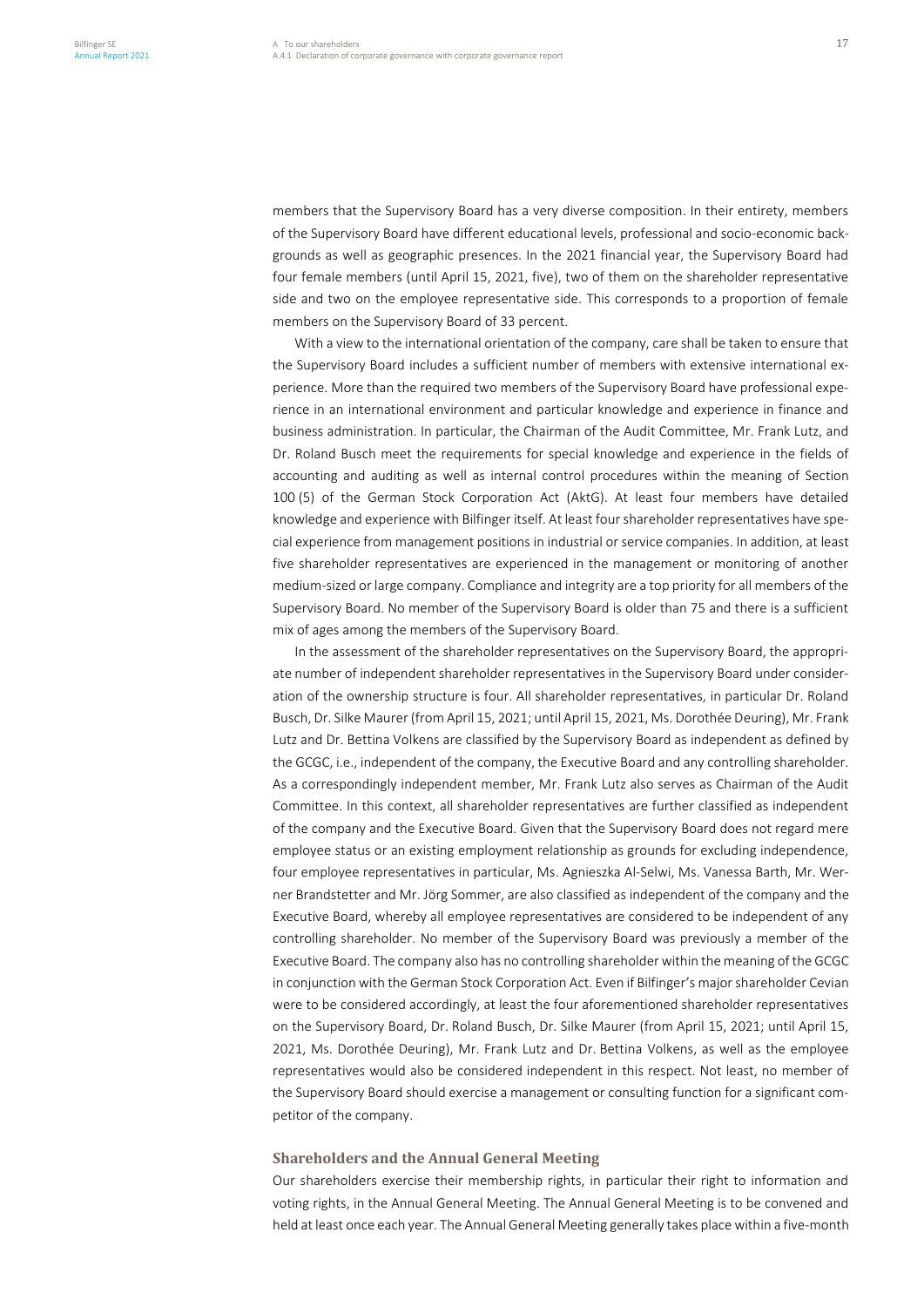members that the Supervisory Board has a very diverse composition. In their entirety, members of the Supervisory Board have different educational levels, professional and socio-economic backgrounds as well as geographic presences. In the 2021 financial year, the Supervisory Board had four female members (until April 15, 2021, five), two of them on the shareholder representative side and two on the employee representative side. This corresponds to a proportion of female members on the Supervisory Board of 33 percent.

With a view to the international orientation of the company, care shall be taken to ensure that the Supervisory Board includes a sufficient number of members with extensive international experience. More than the required two members of the Supervisory Board have professional experience in an international environment and particular knowledge and experience in finance and business administration. In particular, the Chairman of the Audit Committee, Mr. Frank Lutz, and Dr. Roland Busch meet the requirements for special knowledge and experience in the fields of accounting and auditing as well as internal control procedures within the meaning of Section 100 (5) of the German Stock Corporation Act (AktG). At least four members have detailed knowledge and experience with Bilfinger itself. At least four shareholder representatives have special experience from management positions in industrial or service companies. In addition, at least five shareholder representatives are experienced in the management or monitoring of another medium-sized or large company. Compliance and integrity are a top priority for all members of the Supervisory Board. No member of the Supervisory Board is older than 75 and there is a sufficient mix of ages among the members of the Supervisory Board.

In the assessment of the shareholder representatives on the Supervisory Board, the appropriate number of independent shareholder representatives in the Supervisory Board under consideration of the ownership structure is four. All shareholder representatives, in particular Dr. Roland Busch, Dr. Silke Maurer (from April 15, 2021; until April 15, 2021, Ms. Dorothée Deuring), Mr. Frank Lutz and Dr. Bettina Volkens are classified by the Supervisory Board as independent as defined by the GCGC, i.e., independent of the company, the Executive Board and any controlling shareholder. As a correspondingly independent member, Mr. Frank Lutz also serves as Chairman of the Audit Committee. In this context, all shareholder representatives are further classified as independent of the company and the Executive Board. Given that the Supervisory Board does not regard mere employee status or an existing employment relationship as grounds for excluding independence, four employee representatives in particular, Ms. Agnieszka Al-Selwi, Ms. Vanessa Barth, Mr. Werner Brandstetter and Mr. Jörg Sommer, are also classified as independent of the company and the Executive Board, whereby all employee representatives are considered to be independent of any controlling shareholder. No member of the Supervisory Board was previously a member of the Executive Board. The company also has no controlling shareholder within the meaning of the GCGC in conjunction with the German Stock Corporation Act. Even if Bilfinger's major shareholder Cevian were to be considered accordingly, at least the four aforementioned shareholder representatives on the Supervisory Board, Dr. Roland Busch, Dr. Silke Maurer (from April 15, 2021; until April 15, 2021, Ms. Dorothée Deuring), Mr. Frank Lutz and Dr. Bettina Volkens, as well as the employee representatives would also be considered independent in this respect. Not least, no member of the Supervisory Board should exercise a management or consulting function for a significant competitor of the company.

## **Shareholders and the Annual General Meeting**

Our shareholders exercise their membership rights, in particular their right to information and voting rights, in the Annual General Meeting. The Annual General Meeting is to be convened and held at least once each year. The Annual General Meeting generally takes place within a five-month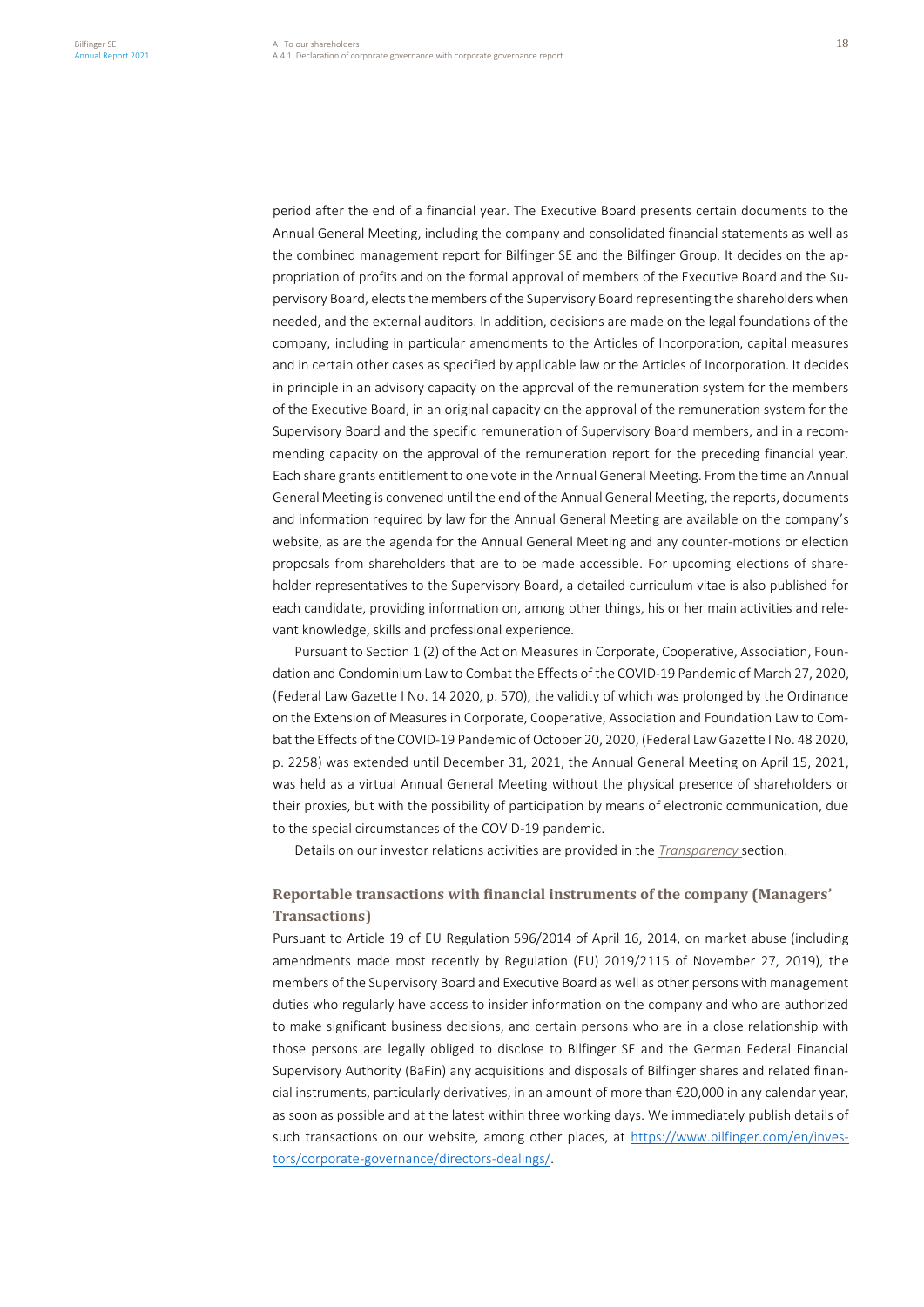period after the end of a financial year. The Executive Board presents certain documents to the Annual General Meeting, including the company and consolidated financial statements as well as the combined management report for Bilfinger SE and the Bilfinger Group. It decides on the appropriation of profits and on the formal approval of members of the Executive Board and the Supervisory Board, elects the members of the Supervisory Board representing the shareholders when needed, and the external auditors. In addition, decisions are made on the legal foundations of the company, including in particular amendments to the Articles of Incorporation, capital measures and in certain other cases as specified by applicable law or the Articles of Incorporation. It decides in principle in an advisory capacity on the approval of the remuneration system for the members of the Executive Board, in an original capacity on the approval of the remuneration system for the Supervisory Board and the specific remuneration of Supervisory Board members, and in a recommending capacity on the approval of the remuneration report for the preceding financial year. Each share grants entitlement to one vote in the Annual General Meeting. From the time an Annual General Meeting is convened until the end of the Annual General Meeting, the reports, documents and information required by law for the Annual General Meeting are available on the company's website, as are the agenda for the Annual General Meeting and any counter-motions or election proposals from shareholders that are to be made accessible. For upcoming elections of shareholder representatives to the Supervisory Board, a detailed curriculum vitae is also published for each candidate, providing information on, among other things, his or her main activities and relevant knowledge, skills and professional experience.

Pursuant to Section 1 (2) of the Act on Measures in Corporate, Cooperative, Association, Foundation and Condominium Law to Combat the Effects of the COVID-19 Pandemic of March 27, 2020, (Federal Law Gazette I No. 14 2020, p. 570), the validity of which was prolonged by the Ordinance on the Extension of Measures in Corporate, Cooperative, Association and Foundation Law to Combat the Effects of the COVID-19 Pandemic of October 20, 2020, (Federal Law Gazette I No. 48 2020, p. 2258) was extended until December 31, 2021, the Annual General Meeting on April 15, 2021, was held as a virtual Annual General Meeting without the physical presence of shareholders or their proxies, but with the possibility of participation by means of electronic communication, due to the special circumstances of the COVID-19 pandemic.

Details on our investor relations activities are provided in the *Transparency* section.

# **Reportable transactions with financial instruments of the company (Managers' Transactions)**

Pursuant to Article 19 of EU Regulation 596/2014 of April 16, 2014, on market abuse (including amendments made most recently by Regulation (EU) 2019/2115 of November 27, 2019), the members of the Supervisory Board and Executive Board as well as other persons with management duties who regularly have access to insider information on the company and who are authorized to make significant business decisions, and certain persons who are in a close relationship with those persons are legally obliged to disclose to Bilfinger SE and the German Federal Financial Supervisory Authority (BaFin) any acquisitions and disposals of Bilfinger shares and related financial instruments, particularly derivatives, in an amount of more than  $\epsilon$ 20,000 in any calendar year, as soon as possible and at the latest within three working days. We immediately publish details of such transactions on our website, among other places, at [https://www.bilfinger.com/en/inves](https://www.bilfinger.com/en/investors/corporate-governance/directors-dealings/)[tors/corporate-governance/directors-dealings/.](https://www.bilfinger.com/en/investors/corporate-governance/directors-dealings/)